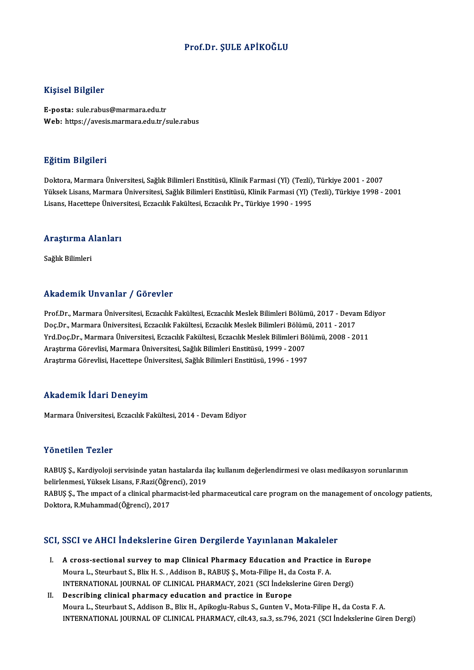### Prof.Dr. ŞULE APİKOĞLU

#### Kişisel Bilgiler

E-posta: sule.rabus@marmara.edu.tr Web: https://avesis.marmara.edu.tr/sule.rabus

#### Eğitim Bilgileri

Doktora,MarmaraÜniversitesi,SağlıkBilimleriEnstitüsü,KlinikFarmasi (Yl) (Tezli),Türkiye 2001 -2007 YüksekLisans,MarmaraÜniversitesi,SağlıkBilimleriEnstitüsü,KlinikFarmasi (Yl) (Tezli),Türkiye 1998 -2001 Lisans, Hacettepe Üniversitesi, Eczacılık Fakültesi, Eczacılık Pr., Türkiye 1990 - 1995

# <sub>Lisans, naceuepe oniver</sub><br>Araştırma Alanları <mark>Araştırma A</mark><br>Sağlık Bilimleri

# Akademik Unvanlar / Görevler

Akademik Unvanlar / Görevler<br>Prof.Dr., Marmara Üniversitesi, Eczacılık Fakültesi, Eczacılık Meslek Bilimleri Bölümü, 2017 - Devam Ediyor<br>Des Dr., Marmara Üniversitesi, Eszacılık Fakültesi, Eszacılık Meslek Bilimleri Bölümü rında olirin Sirvaniar 7 "dərəvisi"<br>Prof.Dr., Marmara Üniversitesi, Eczacılık Fakültesi, Eczacılık Meslek Bilimleri Bölümü, 2017 - Devai<br>Doç.Dr., Marmara Üniversitesi, Eczacılık Fakültesi, Eczacılık Meslek Bilimleri Bölümü Prof.Dr., Marmara Üniversitesi, Eczacılık Fakültesi, Eczacılık Meslek Bilimleri Bölümü, 2017 - Devam Ec<br>Doç.Dr., Marmara Üniversitesi, Eczacılık Fakültesi, Eczacılık Meslek Bilimleri Bölümü, 2011 - 2017<br>Yrd.Doç.Dr., Marmar Doç.Dr., Marmara Üniversitesi, Eczacılık Fakültesi, Eczacılık Meslek Bilimleri Bölümü, 2011 - 2017<br>Yrd.Doç.Dr., Marmara Üniversitesi, Eczacılık Fakültesi, Eczacılık Meslek Bilimleri Bölümü, 2008 - 2011<br>Araştırma Görevlisi, Araştırma Görevlisi, Hacettepe Üniversitesi, Sağlık Bilimleri Enstitüsü, 1996 - 1997

#### Akademik İdari Deneyim

Marmara Üniversitesi, Eczacılık Fakültesi, 2014 - Devam Ediyor

#### Yönetilen Tezler

Yönetilen Tezler<br>RABUŞ Ş., Kardiyoloji servisinde yatan hastalarda ilaç kullanım değerlendirmesi ve olası medikasyon sorunlarının<br>helirlenmesi, Yülreek Lisans, E.Bazi(Öğrensi), 2019 1 SHSEHSH 1 SHS:<br>RABUŞ Ş., Kardiyoloji servisinde yatan hastalarda il<br>belirlenmesi, Yüksek Lisans, F.Razi(Öğrenci), 2019<br>BABUS S., The unnast of a slinisel pharmasist led ph belirlenmesi, Yüksek Lisans, F.Razi(Öğrenci), 2019

RABUŞ Ş., The impact of a clinical pharmacist-led pharmaceutical care program on the management of oncology patients,<br>Doktora, R.Muhammad(Öğrenci), 2017

# <sub>Doktora, K.Munammad(Ogrencı), 2017<br>SCI, SSCI ve AHCI İndekslerine Giren Dergilerde Yayınlanan Makaleler</sub>

- CI, SSCI ve AHCI Indekslerine Giren Dergilerde Yayınlanan Makaleler<br>I. A cross-sectional survey to map Clinical Pharmacy Education and Practice in Europe<br>Moure L. Stourbout S. Bliv H. S., Addison B. BABUS S. Mote Eiline H. Moura L., Steurbaut S., Blix H. S., Addison B., RABUŞ Ş., Mota-Filipe H., da Costa F. A.<br>Moura L., Steurbaut S., Blix H. S., Addison B., RABUŞ Ş., Mota-Filipe H., da Costa F. A.<br>INTERNATIONAL JOURNAL OF GLINICAL BHARMACY 2 A cross-sectional survey to map Clinical Pharmacy Education and Practice in Eury<br>Moura L., Steurbaut S., Blix H. S. , Addison B., RABUŞ Ş., Mota-Filipe H., da Costa F. A.<br>INTERNATIONAL JOURNAL OF CLINICAL PHARMACY, 2021 (S Moura L., Steurbaut S., Blix H. S., Addison B., RABUŞ Ş., Mota-Filipe H., da Costa F. A.<br>INTERNATIONAL JOURNAL OF CLINICAL PHARMACY, 2021 (SCI Indekslerine Giren Dergi)<br>II. Describing clinical pharmacy education and practi
- Moura L., Steurbaut S., Addison B., Blix H., Apikoglu-Rabus S., Gunten V., Mota-Filipe H., da Costa F. A. INTERNATIONAL JOURNALOF CLINICAL PHARMACY, cilt.43, sa.3, ss.796,2021 (SCI İndekslerineGirenDergi)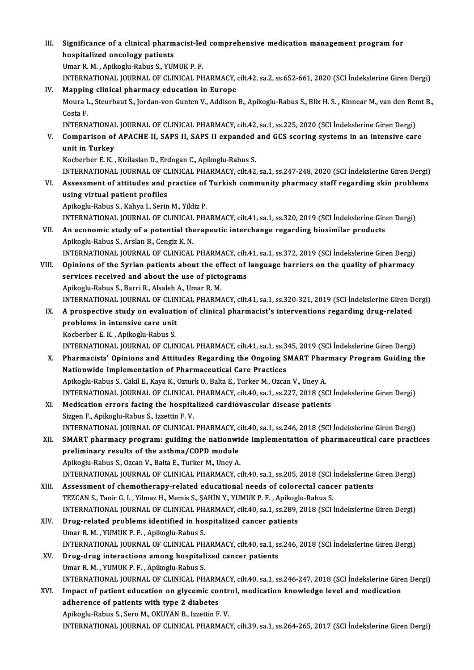III. Significance of a clinical pharmacist-led comprehensive medication management program for<br>hoopitalized ongelegy patients Significance of a clinical pharm<br>hospitalized oncology patients<br>Ilmar P. M., Anikaghy Babye S. VID Significance of a clinical pharmacist-leo<br>hospitalized oncology patients<br>Umar R. M. , Apikoglu-Rabus S., YUMUK P. F.<br>INTERNATIONAL JOURNAL OF CLINICAL PH hospitalized oncology patients<br>Umar R. M. , Apikoglu-Rabus S., YUMUK P. F.<br>INTERNATIONAL JOURNAL OF CLINICAL PHARMACY, cilt.42, sa.2, ss.652-661, 2020 (SCI İndekslerine Giren Dergi) Umar R. M., Apikoglu-Rabus S., YUMUK P. F.<br>INTERNATIONAL JOURNAL OF CLINICAL PHARMACY,<br>IV. Mapping clinical pharmacy education in Europe<br>Moura L. Stourbout S. Jordan von Cunton V. Addison INTERNATIONAL JOURNAL OF CLINICAL PHARMACY, cilt.42, sa.2, ss.652-661, 2020 (SCI İndekslerine Giren Dergi)<br><mark>Mapping clinical pharmacy education in Europe</mark><br>Moura L., Steurbaut S., Jordan-von Gunten V., Addison B., Apikoglu-Ma<mark>ppin</mark><br>Moura L<br>Costa F.<br>INTEPN Moura L., Steurbaut S., Jordan-von Gunten V., Addison B., Apikoglu-Rabus S., Blix H. S. , Kinnear M., van den Ber<br>Costa F.<br>INTERNATIONAL JOURNAL OF CLINICAL PHARMACY, cilt.42, sa.1, ss.225, 2020 (SCI İndekslerine Giren Der Costa F.<br>INTERNATIONAL JOURNAL OF CLINICAL PHARMACY, cilt.42, sa.1, ss.225, 2020 (SCI İndekslerine Giren Dergi)<br>V. Comparison of APACHE II, SAPS II, SAPS II expanded and GCS scoring systems in an intensive care<br>unit in INTERNATIONAL<br>Comparison of<br>unit in Turkey<br>Kocherher E K Comparison of APACHE II, SAPS II, SAPS II expanded<br>unit in Turkey<br>Kocberber E.K., Kizilaslan D., Erdogan C., Apikoglu-Rabus S.<br>INTERNATIONAL JOUPNAL OF CLINICAL PHAPMACY silt 42 unit in Turkey<br>Kocberber E. K. , Kizilaslan D., Erdogan C., Apikoglu-Rabus S.<br>INTERNATIONAL JOURNAL OF CLINICAL PHARMACY, cilt.42, sa.1, ss.247-248, 2020 (SCI İndekslerine Giren Dergi) Kocberber E. K. , Kizilaslan D., Erdogan C., Apikoglu-Rabus S.<br>INTERNATIONAL JOURNAL OF CLINICAL PHARMACY, cilt.42, sa.1, ss.247-248, 2020 (SCI İndekslerine Giren Dergi)<br>VI. Assessment of attitudes and practice of Turkish using virtual patient profiles<br>Apikoglu-Rabus S., Kahya I., Serin M., Yildiz P. Assessment of attitudes and practice of<br>using virtual patient profiles<br>Apikoglu-Rabus S., Kahya I., Serin M., Yildiz P.<br>INTERNATIONAL JOURNAL OF CLINICAL PH INTERNATIONAL JOURNALOF CLINICAL PHARMACY, cilt.41, sa.1, ss.320,2019 (SCI İndekslerineGirenDergi) Apikoglu-Rabus S., Kahya I., Serin M., Yildiz P.<br>INTERNATIONAL JOURNAL OF CLINICAL PHARMACY, cilt.41, sa.1, ss.320, 2019 (SCI İndekslerine Gire<br>VII. An economic study of a potential therapeutic interchange regarding biosim INTERNATIONAL JOURNAL OF CLINICAL<br>**An economic study of a potential the**<br>Apikoglu-Rabus S., Arslan B., Cengiz K. N.<br>INTERNATIONAL JOURNAL OF CLINICAL Apikoglu-Rabus S., Arslan B., Cengiz K. N.<br>INTERNATIONAL JOURNAL OF CLINICAL PHARMACY, cilt.41, sa.1, ss.372, 2019 (SCI İndekslerine Giren Dergi) Apikoglu-Rabus S., Arslan B., Cengiz K. N.<br>INTERNATIONAL JOURNAL OF CLINICAL PHARMACY, cilt.41, sa.1, ss.372, 2019 (SCI Indekslerine Giren Dergi)<br>VIII. Opinions of the Syrian patients about the effect of language barriers INTERNATIONAL JOURNAL OF CLINICAL PHARMACY, cilt.<br>Opinions of the Syrian patients about the effect of<br>services received and about the use of pictograms<br>Anikogly Pabus S. Barri B. Alsalab A. Umar B. M. Opinions of the Syrian patients about the ef<br>services received and about the use of picto<br>Apikoglu-Rabus S., Barri R., Alsaleh A., Umar R. M.<br>INTERNATIONAL JOURNAL OF CLINICAL PHARM services received and about the use of pictograms<br>Apikoglu-Rabus S., Barri R., Alsaleh A., Umar R. M.<br>INTERNATIONAL JOURNAL OF CLINICAL PHARMACY, cilt.41, sa.1, ss.320-321, 2019 (SCI İndekslerine Giren Dergi)<br>A prespective Apikoglu-Rabus S., Barri R., Alsaleh A., Umar R. M.<br>INTERNATIONAL JOURNAL OF CLINICAL PHARMACY, cilt.41, sa.1, ss.320-321, 2019 (SCI İndekslerine Giren D<br>IX. A prospective study on evaluation of clinical pharmacist's i INTERNATIONAL JOURNAL OF CLIN<br>A prospective study on evaluati<br>problems in intensive care unit IX. A prospective study on evaluation of clinical pharmacist's interventions regarding drug-related problems in intensive care unit<br>Kocberber E.K., Apikoglu-Rabus S. INTERNATIONAL JOURNALOF CLINICAL PHARMACY, cilt.41, sa.1, ss.345,2019 (SCI İndekslerineGirenDergi) X. Pharmacists' Opinions and Attitudes Regarding the Ongoing SMART Pharmacy Program Guiding the Nationwide Implementation of Pharmaceutical Care Practices Apikoglu-Rabus S., Cakil E., Kaya K., Ozturk O., Balta E., Turker M., Ozcan V., Uney A. INTERNATIONAL JOURNALOF CLINICAL PHARMACY, cilt.40, sa.1, ss.227,2018 (SCI İndekslerineGirenDergi) XI. Medication errors facing the hospitalized cardiovascular disease patients Sizgen F., Apikoglu-Rabus S., Izzettin F.V. Medication errors facing the hospitalized cardiovascular disease patients<br>Sizgen F., Apikoglu-Rabus S., Izzettin F. V.<br>INTERNATIONAL JOURNAL OF CLINICAL PHARMACY, cilt.40, sa.1, ss.246, 2018 (SCI İndekslerine Giren Dergi)<br> Sizgen F., Apikoglu-Rabus S., Izzettin F. V.<br>INTERNATIONAL JOURNAL OF CLINICAL PHARMACY, cilt.40, sa.1, ss.246, 2018 (SCI İndekslerine Giren Dergi)<br>XII. SMART pharmacy program: guiding the nationwide implementation of phar INTERNATIONAL JOURNAL OF CLINICAL PHARMACY, c<br>SMART pharmacy program: guiding the nationwi<br>preliminary results of the asthma/COPD module<br>Anikogly Bobys S. Ozon V. Bolta E. Tyrker M. Unex A. SMART pharmacy program: guiding the nationwide implementation of pharmaceutical care practices<br>preliminary results of the asthma/COPD module<br>Apikoglu-Rabus S., Ozcan V., Balta E., Turker M., Uney A. preliminary results of the asthma/COPD module<br>Apikoglu-Rabus S., Ozcan V., Balta E., Turker M., Uney A.<br>INTERNATIONAL JOURNAL OF CLINICAL PHARMACY, cilt.40, sa.1, ss.205, 2018 (SCI İndekslerine Giren Dergi)<br>Assessment of s Apikoglu-Rabus S., Ozcan V., Balta E., Turker M., Uney A.<br>INTERNATIONAL JOURNAL OF CLINICAL PHARMACY, cilt.40, sa.1, ss.205, 2018 (SCI Indekslerine<br>XIII. Assessment of chemotherapy-related educational needs of colorectal c INTERNATIONAL JOURNAL OF CLINICAL PHARMACY, cilt.40, sa.1, ss.205, 2018 (SCI 1<br>Assessment of chemotherapy-related educational needs of colorectal cance<br>TEZCAN S., Tanir G. I. , Yilmaz H., Memis S., ŞAHİN Y., YUMUK P. F. , Assessment of chemotherapy-related educational needs of colorectal cancer patients<br>TEZCAN S., Tanir G. I. , Yilmaz H., Memis S., ŞAHİN Y., YUMUK P. F. , Apikoglu-Rabus S.<br>INTERNATIONAL JOURNAL OF CLINICAL PHARMACY, cilt.40 TEZCAN S., Tanir G. I. , Yilmaz H., Memis S., ŞAHİN Y., YUMUK P. F. , Apikogl<br>INTERNATIONAL JOURNAL OF CLINICAL PHARMACY, cilt.40, sa.1, ss.289,<br>XIV. Drug-related problems identified in hospitalized cancer patients<br>Ilmar B INTERNATIONAL JOURNAL OF CLINICAL PH<br>Drug-related problems identified in hos<br>Umar R. M. , YUMUK P. F. , Apikoglu-Rabus S.<br>INTERNATIONAL JOURNAL OF CLINICAL PH Drug-related problems identified in hospitalized cancer patients<br>Umar R. M. , YUMUK P. F. , Apikoglu-Rabus S.<br>INTERNATIONAL JOURNAL OF CLINICAL PHARMACY, cilt.40, sa.1, ss.246, 2018 (SCI İndekslerine Giren Dergi)<br>Dava dava Umar R. M., YUMUK P. F., Apikoglu-Rabus S.<br>INTERNATIONAL JOURNAL OF CLINICAL PHARMACY, cilt.40, sa.1, s:<br>XV. Drug-drug interactions among hospitalized cancer patients<br>Umar R. M., YUMUK P. F., Apikoglu-Rabus S. INTERNATIONAL JOURNAL OF CLINICAL PH<br>Drug-drug interactions among hospital:<br>Umar R. M. , YUMUK P. F. , Apikoglu-Rabus S.<br>INTERNATIONAL JOURNAL OF CLINICAL PH Drug-drug interactions among hospitalized cancer patients<br>Umar R. M. , YUMUK P. F. , Apikoglu-Rabus S.<br>INTERNATIONAL JOURNAL OF CLINICAL PHARMACY, cilt.40, sa.1, ss.246-247, 2018 (SCI İndekslerine Giren Dergi)<br>Innast of na Umar R. M. , YUMUK P. F. , Apikoglu-Rabus S.<br>INTERNATIONAL JOURNAL OF CLINICAL PHARMACY, cilt.40, sa.1, ss.246-247, 2018 (SCI indekslerine Gire<br>XVI. Impact of patient education on glycemic control, medication knowledge lev INTERNATIONAL JOURNAL OF CLINICAL PHARM<br>Impact of patient education on glycemic considerence of patients with type 2 diabetes<br>Anikosly Bebye S. Sove M. OKUVAN B. Igratin E XVI. Impact of patient education on glycemic control, medication knowledge level and medication<br>adherence of patients with type 2 diabetes<br>Apikoglu-Rabus S., Sero M., OKUYAN B., Izzettin F. V. INTERNATIONAL JOURNALOF CLINICAL PHARMACY, cilt.39, sa.1, ss.264-265,2017 (SCI İndekslerineGirenDergi)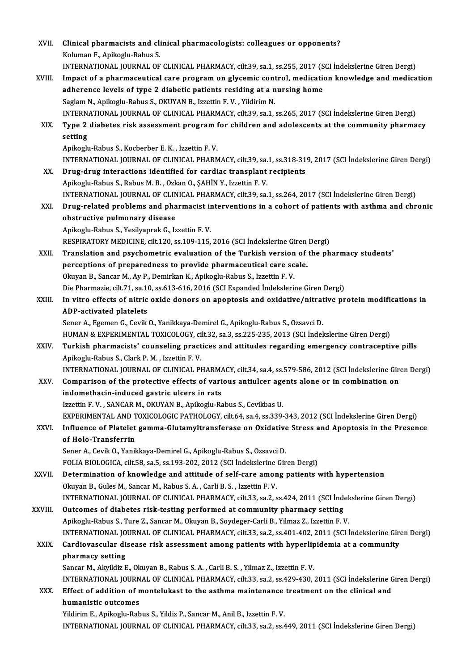| XVII.   | Clinical pharmacists and clinical pharmacologists: colleagues or opponents?                                                                                                                               |
|---------|-----------------------------------------------------------------------------------------------------------------------------------------------------------------------------------------------------------|
|         | Koluman F., Apikoglu-Rabus S.                                                                                                                                                                             |
|         | INTERNATIONAL JOURNAL OF CLINICAL PHARMACY, cilt.39, sa.1, ss.255, 2017 (SCI Indekslerine Giren Dergi)                                                                                                    |
| XVIII.  | Impact of a pharmaceutical care program on glycemic control, medication knowledge and medication                                                                                                          |
|         | adherence levels of type 2 diabetic patients residing at a nursing home<br>Saglam N., Apikoglu-Rabus S., OKUYAN B., Izzettin F. V., Yildirim N.                                                           |
|         | INTERNATIONAL JOURNAL OF CLINICAL PHARMACY, cilt.39, sa.1, ss.265, 2017 (SCI İndekslerine Giren Dergi)                                                                                                    |
| XIX.    | Type 2 diabetes risk assessment program for children and adolescents at the community pharmacy                                                                                                            |
|         | setting                                                                                                                                                                                                   |
|         | Apikoglu-Rabus S., Kocberber E. K., Izzettin F. V.                                                                                                                                                        |
|         | INTERNATIONAL JOURNAL OF CLINICAL PHARMACY, cilt.39, sa.1, ss.318-319, 2017 (SCI İndekslerine Giren Dergi)                                                                                                |
| XX.     | Drug-drug interactions identified for cardiac transplant recipients                                                                                                                                       |
|         | Apikoglu-Rabus S., Rabus M. B., Ozkan O., SAHİN Y., Izzettin F. V.                                                                                                                                        |
|         | INTERNATIONAL JOURNAL OF CLINICAL PHARMACY, cilt.39, sa.1, ss.264, 2017 (SCI İndekslerine Giren Dergi)                                                                                                    |
| XXI.    | Drug-related problems and pharmacist interventions in a cohort of patients with asthma and chronic                                                                                                        |
|         | obstructive pulmonary disease                                                                                                                                                                             |
|         | Apikoglu-Rabus S., Yesilyaprak G., Izzettin F.V.                                                                                                                                                          |
|         | RESPIRATORY MEDICINE, cilt.120, ss.109-115, 2016 (SCI Indekslerine Giren Dergi)                                                                                                                           |
| XXII.   | Translation and psychometric evaluation of the Turkish version of the pharmacy students'                                                                                                                  |
|         | perceptions of preparedness to provide pharmaceutical care scale.                                                                                                                                         |
|         | Okuyan B., Sancar M., Ay P., Demirkan K., Apikoglu-Rabus S., Izzettin F. V.                                                                                                                               |
|         | Die Pharmazie, cilt.71, sa.10, ss.613-616, 2016 (SCI Expanded Indekslerine Giren Dergi)                                                                                                                   |
| XXIII.  | In vitro effects of nitric oxide donors on apoptosis and oxidative/nitrative protein modifications in                                                                                                     |
|         | ADP-activated platelets                                                                                                                                                                                   |
|         | Sener A., Egemen G., Cevik O., Yanikkaya-Demirel G., Apikoglu-Rabus S., Ozsavci D.                                                                                                                        |
|         | HUMAN & EXPERIMENTAL TOXICOLOGY, cilt.32, sa.3, ss.225-235, 2013 (SCI İndekslerine Giren Dergi)                                                                                                           |
| XXIV.   | Turkish pharmacists' counseling practices and attitudes regarding emergency contraceptive pills                                                                                                           |
|         | Apikoglu-Rabus S., Clark P. M., Izzettin F. V.                                                                                                                                                            |
|         | INTERNATIONAL JOURNAL OF CLINICAL PHARMACY, cilt.34, sa.4, ss.579-586, 2012 (SCI Indekslerine Giren Dergi)<br>Comparison of the protective effects of various antiulcer agents alone or in combination on |
| XXV.    | indomethacin-induced gastric ulcers in rats                                                                                                                                                               |
|         | Izzettin F.V., SANCAR M., OKUYAN B., Apikoglu-Rabus S., Cevikbas U.                                                                                                                                       |
|         | EXPERIMENTAL AND TOXICOLOGIC PATHOLOGY, cilt.64, sa.4, ss.339-343, 2012 (SCI Indekslerine Giren Dergi)                                                                                                    |
| XXVI.   | Influence of Platelet gamma-Glutamyltransferase on Oxidative Stress and Apoptosis in the Presence                                                                                                         |
|         | of Holo-Transferrin                                                                                                                                                                                       |
|         | Sener A., Cevik O., Yanikkaya-Demirel G., Apikoglu-Rabus S., Ozsavci D.                                                                                                                                   |
|         | FOLIA BIOLOGICA, cilt.58, sa.5, ss.193-202, 2012 (SCI İndekslerine Giren Dergi)                                                                                                                           |
| XXVII.  | Determination of knowledge and attitude of self-care among patients with hypertension                                                                                                                     |
|         | Okuyan B., Gules M., Sancar M., Rabus S. A., Carli B. S., Izzettin F. V.                                                                                                                                  |
|         | INTERNATIONAL JOURNAL OF CLINICAL PHARMACY, cilt.33, sa.2, ss.424, 2011 (SCI İndekslerine Giren Dergi)                                                                                                    |
| XXVIII. | Outcomes of diabetes risk-testing performed at community pharmacy setting                                                                                                                                 |
|         | Apikoglu-Rabus S., Ture Z., Sancar M., Okuyan B., Soydeger-Carli B., Yilmaz Z., Izzettin F. V.                                                                                                            |
|         | INTERNATIONAL JOURNAL OF CLINICAL PHARMACY, cilt.33, sa.2, ss.401-402, 2011 (SCI İndekslerine Giren Dergi)                                                                                                |
| XXIX.   | Cardiovascular disease risk assessment among patients with hyperlipidemia at a community                                                                                                                  |
|         | pharmacy setting                                                                                                                                                                                          |
|         | Sancar M., Akyildiz E., Okuyan B., Rabus S. A., Carli B. S., Yilmaz Z., Izzettin F. V.                                                                                                                    |
|         | INTERNATIONAL JOURNAL OF CLINICAL PHARMACY, cilt.33, sa.2, ss.429-430, 2011 (SCI İndekslerine Giren Dergi)                                                                                                |
| XXX.    | Effect of addition of montelukast to the asthma maintenance treatment on the clinical and                                                                                                                 |
|         | humanistic outcomes                                                                                                                                                                                       |
|         | Yildirim E., Apikoglu-Rabus S., Yildiz P., Sancar M., Anil B., Izzettin F.V.                                                                                                                              |
|         | INTERNATIONAL JOURNAL OF CLINICAL PHARMACY, cilt.33, sa.2, ss.449, 2011 (SCI Indekslerine Giren Dergi)                                                                                                    |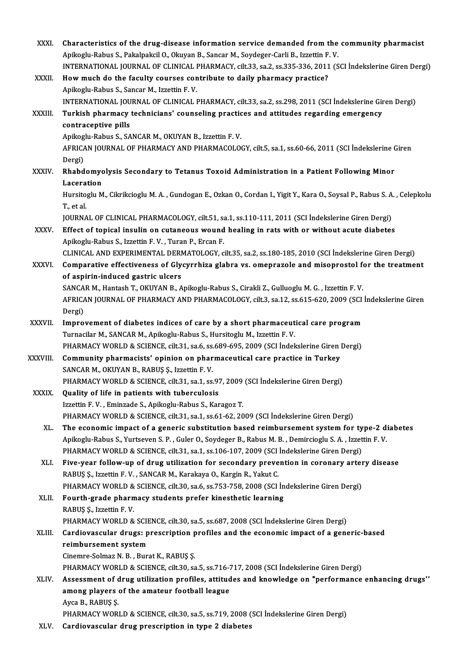| XXXI.         | Characteristics of the drug-disease information service demanded from the community pharmacist                                                                                       |
|---------------|--------------------------------------------------------------------------------------------------------------------------------------------------------------------------------------|
|               | Apikoglu-Rabus S., Pakalpakcil O., Okuyan B., Sancar M., Soydeger-Carli B., Izzettin F. V.                                                                                           |
| XXXII.        | INTERNATIONAL JOURNAL OF CLINICAL PHARMACY, cilt.33, sa.2, ss.335-336, 2011 (SCI Indekslerine Giren Dergi)<br>How much do the faculty courses contribute to daily pharmacy practice? |
|               | Apikoglu-Rabus S., Sancar M., Izzettin F. V.                                                                                                                                         |
|               | INTERNATIONAL JOURNAL OF CLINICAL PHARMACY, cilt.33, sa.2, ss.298, 2011 (SCI Indekslerine Giren Dergi)                                                                               |
| XXXIII.       | Turkish pharmacy technicians' counseling practices and attitudes regarding emergency                                                                                                 |
|               | contraceptive pills                                                                                                                                                                  |
|               | Apikoglu-Rabus S., SANCAR M., OKUYAN B., Izzettin F. V.                                                                                                                              |
|               | AFRICAN JOURNAL OF PHARMACY AND PHARMACOLOGY, cilt.5, sa.1, ss.60-66, 2011 (SCI Indekslerine Giren                                                                                   |
|               | Dergi)                                                                                                                                                                               |
| <b>XXXIV</b>  | Rhabdomyolysis Secondary to Tetanus Toxoid Administration in a Patient Following Minor                                                                                               |
|               | Laceration                                                                                                                                                                           |
|               | Hursitoglu M., Cikrikcioglu M. A., Gundogan E., Ozkan O., Cordan I., Yigit Y., Kara O., Soysal P., Rabus S. A., Celepkolu                                                            |
|               | T, et al.                                                                                                                                                                            |
|               | JOURNAL OF CLINICAL PHARMACOLOGY, cilt.51, sa.1, ss.110-111, 2011 (SCI İndekslerine Giren Dergi)                                                                                     |
| XXXV.         | Effect of topical insulin on cutaneous wound healing in rats with or without acute diabetes                                                                                          |
|               | Apikoglu-Rabus S., Izzettin F.V., Turan P., Ercan F.                                                                                                                                 |
|               | CLINICAL AND EXPERIMENTAL DERMATOLOGY, cilt.35, sa.2, ss.180-185, 2010 (SCI İndekslerine Giren Dergi)                                                                                |
| XXXVI.        | Comparative effectiveness of Glycyrrhiza glabra vs. omeprazole and misoprostol for the treatment                                                                                     |
|               | of aspirin-induced gastric ulcers                                                                                                                                                    |
|               | SANCAR M., Hantash T., OKUYAN B., Apikoglu-Rabus S., Cirakli Z., Gulluoglu M. G., Izzettin F. V.                                                                                     |
|               | AFRICAN JOURNAL OF PHARMACY AND PHARMACOLOGY, cilt.3, sa.12, ss.615-620, 2009 (SCI Indekslerine Giren                                                                                |
|               | Dergi)<br>Improvement of diabetes indices of care by a short pharmaceutical care program                                                                                             |
| <b>XXXVII</b> | Turnacilar M., SANCAR M., Apikoglu-Rabus S., Hursitoglu M., Izzettin F. V.                                                                                                           |
|               | PHARMACY WORLD & SCIENCE, cilt.31, sa.6, ss.689-695, 2009 (SCI İndekslerine Giren Dergi)                                                                                             |
| XXXVIII.      | Community pharmacists' opinion on pharmaceutical care practice in Turkey                                                                                                             |
|               | SANCAR M., OKUYAN B., RABUŞ Ş., Izzettin F. V.                                                                                                                                       |
|               | PHARMACY WORLD & SCIENCE, cilt.31, sa.1, ss.97, 2009 (SCI Indekslerine Giren Dergi)                                                                                                  |
| <b>XXXIX</b>  | Quality of life in patients with tuberculosis                                                                                                                                        |
|               | Izzettin F.V., Eminzade S., Apikoglu-Rabus S., Karagoz T.                                                                                                                            |
|               | PHARMACY WORLD & SCIENCE, cilt.31, sa.1, ss.61-62, 2009 (SCI Indekslerine Giren Dergi)                                                                                               |
| XL.           | The economic impact of a generic substitution based reimbursement system for type-2 diabetes                                                                                         |
|               | Apikoglu-Rabus S., Yurtseven S. P., Guler O., Soydeger B., Rabus M. B., Demircioglu S. A., Izzettin F. V.                                                                            |
|               | PHARMACY WORLD & SCIENCE, cilt.31, sa.1, ss.106-107, 2009 (SCI Indekslerine Giren Dergi)                                                                                             |
| XLI.          | Five-year follow-up of drug utilization for secondary prevention in coronary artery disease                                                                                          |
|               | RABUŞ Ş., Izzettin F. V., SANCAR M., Karakaya O., Kargin R., Yakut C.                                                                                                                |
|               | PHARMACY WORLD & SCIENCE, cilt.30, sa.6, ss.753-758, 2008 (SCI Indekslerine Giren Dergi)                                                                                             |
| XLII.         | Fourth-grade pharmacy students prefer kinesthetic learning                                                                                                                           |
|               | RABUŞ Ş., Izzettin F. V.                                                                                                                                                             |
|               | PHARMACY WORLD & SCIENCE, cilt.30, sa.5, ss.687, 2008 (SCI Indekslerine Giren Dergi)                                                                                                 |
| XLIII.        | Cardiovascular drugs: prescription profiles and the economic impact of a generic-based                                                                                               |
|               | reimbursement system<br>Cinemre-Solmaz N. B., Burat K., RABUŞ Ş.                                                                                                                     |
|               | PHARMACY WORLD & SCIENCE, cilt.30, sa.5, ss.716-717, 2008 (SCI Indekslerine Giren Dergi)                                                                                             |
| XLIV.         | Assessment of drug utilization profiles, attitudes and knowledge on "performance enhancing drugs"                                                                                    |
|               | among players of the amateur football league                                                                                                                                         |
|               | Ayca B, RABUŞ Ş                                                                                                                                                                      |
|               | PHARMACY WORLD & SCIENCE, cilt.30, sa.5, ss.719, 2008 (SCI Indekslerine Giren Dergi)                                                                                                 |
| XLV.          | Cardiovascular drug prescription in type 2 diabetes                                                                                                                                  |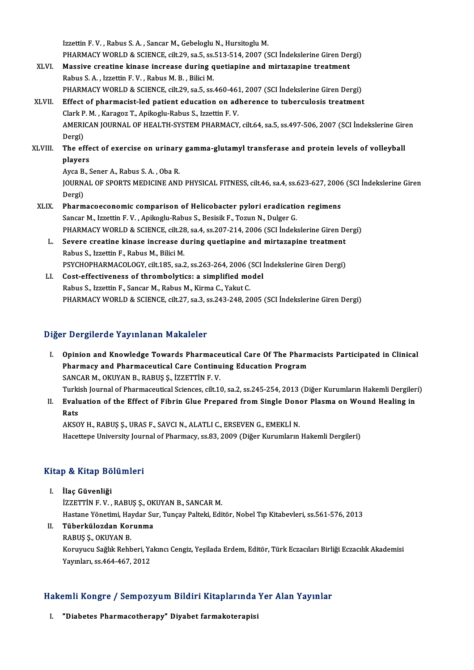Izzettin F.V., Rabus S.A., Sancar M., Gebeloglu N., Hursitoglu M. Izzettin F. V. , Rabus S. A. , Sancar M., Gebeloglu N., Hursitoglu M.<br>PHARMACY WORLD & SCIENCE, cilt.29, sa.5, ss.513-514, 2007 (SCI İndekslerine Giren Dergi)<br>Massive areatine kinese inarease during quetianine and mirtagen Izzettin F. V., Rabus S. A., Sancar M., Gebeloglu N., Hursitoglu M.<br>PHARMACY WORLD & SCIENCE, cilt.29, sa.5, ss.513-514, 2007 (SCI Indekslerine Giren Den<br>XLVI. Massive creatine kinase increase during quetiapine and mirtaza PHARMACY WORLD & SCIENCE, cilt.29, sa.5, ss.<br>Massive creatine kinase increase during q<br>Rabus S. A. , Izzettin F. V. , Rabus M. B. , Bilici M.<br>BHABMACY WORLD & SCIENCE, silt 20, sa 5, ss. Massive creatine kinase increase during quetiapine and mirtazapine treatment<br>Rabus S. A. , Izzettin F. V. , Rabus M. B. , Bilici M.<br>PHARMACY WORLD & SCIENCE, cilt.29, sa.5, ss.460-461, 2007 (SCI İndekslerine Giren Dergi) XLVII. Effect of pharmacist-led patient education on adherence to tuberculosis treatment PHARMACY WORLD & SCIENCE, cilt.29, sa.5, ss.460-461<br>Effect of pharmacist-led patient education on ad<br>Clark P. M. , Karagoz T., Apikoglu-Rabus S., Izzettin F. V.<br>AMERICAN JOURNAL OF HEALTH SYSTEM PHARMACY AMERICAN JOURNAL OF HEALTH-SYSTEM PHARMACY, cilt.64, sa.5, ss.497-506, 2007 (SCI İndekslerine Giren<br>Dergi) Clark P<br>AMERI<br>Dergi)<br>The ef AMERICAN JOURNAL OF HEALTH-SYSTEM PHARMACY, cilt.64, sa.5, ss.497-506, 2007 (SCI İndekslerine Gir<br>Dergi)<br>XLVIII. The effect of exercise on urinary gamma-glutamyl transferase and protein levels of volleyball Dergi)<br>The effe<br>players The effect of exercise on urinary<br>players<br>Ayca B., Sener A., Rabus S. A. , Oba R.<br>JOUPNAL OF SPOPTS MEDICINE AND players<br>Ayca B., Sener A., Rabus S. A. , Oba R.<br>JOURNAL OF SPORTS MEDICINE AND PHYSICAL FITNESS, cilt.46, sa.4, ss.623-627, 2006 (SCI İndekslerine Giren Ayca B<br>JOURN<br>Dergi)<br>Pharm JOURNAL OF SPORTS MEDICINE AND PHYSICAL FITNESS, cilt.46, sa.4, ss.623-627, 2006<br>Dergi)<br>XLIX. Pharmacoeconomic comparison of Helicobacter pylori eradication regimens<br>Sangar M. Jungtin E.V. Anikogly Pebus S. Bosisik E. Tamu Dergi)<br><mark>Pharmacoeconomic comparison of Helicobacter pylori eradicati</mark>c<br>Sancar M., Izzettin F. V. , Apikoglu-Rabus S., Besisik F., Tozun N., Dulger G.<br>PHAPMACY WORLD & SCIENCE sit 29, so 4, se 207, 214, 2006 (SCI Indels Pharmacoeconomic comparison of Helicobacter pylori eradication regimens<br>Sancar M., Izzettin F. V. , Apikoglu-Rabus S., Besisik F., Tozun N., Dulger G.<br>PHARMACY WORLD & SCIENCE, cilt.28, sa.4, ss.207-214, 2006 (SCI İndeksle Sancar M., Izzettin F. V. , Apikoglu-Rabus S., Besisik F., Tozun N., Dulger G.<br>PHARMACY WORLD & SCIENCE, cilt.28, sa.4, ss.207-214, 2006 (SCI Indekslerine Giren D.<br>L. Severe creatine kinase increase during quetiapine and m PHARMACY WORLD & SCIENCE, cilt.28, sa.4, ss.207-214, 2006 (SCI Indekslerine Giren Dergi) Severe creatine kinase increase during quetiapine and mirtazapine treatment<br>Rabus S., Izzettin F., Rabus M., Bilici M.<br>PSYCHOPHARMACOLOGY, cilt.185, sa.2, ss.263-264, 2006 (SCI İndekslerine Giren Dergi)<br>Cest effectivenese

LI. Cost-effectiveness of thrombolytics: a simplified model<br>Rabus S., Izzettin F., Sancar M., Rabus M., Kirma C., Yakut C. PSYCHOPHARMACOLOGY, cilt.185, sa.2, ss.263-264, 2006 (<br>Cost-effectiveness of thrombolytics: a simplified mo<br>Rabus S., Izzettin F., Sancar M., Rabus M., Kirma C., Yakut C.<br>PHAPMACY WORLD & SCIENCE cilt.27, sa.2, ss.242, 249 PHARMACY WORLD & SCIENCE, cilt.27, sa.3, ss.243-248, 2005 (SCI İndekslerine Giren Dergi)

### Diğer Dergilerde Yayınlanan Makaleler

- I. Opinion and Knowledge Towards Pharmaceutical Care Of The Pharmacists Participated in Clinical Pharmacy and Pharmaceutical Care Continuing Education Program SANCAR M., OKUYAN B., RABUŞ Ş., İZZETTİN F. V. Pharmacy and Pharmaceutical Care Continuing Education Program<br>SANCAR M., OKUYAN B., RABUŞ Ş., İZZETTİN F. V.<br>Turkish Journal of Pharmaceutical Sciences, cilt.10, sa.2, ss.245-254, 2013 (Diğer Kurumların Hakemli Dergileri)<br>
- SANCAR M., OKUYAN B., RABUŞ Ş., İZZETTİN F. V.<br>Turkish Journal of Pharmaceutical Sciences, cilt.10, sa.2, ss.245-254, 2013 (Diğer Kurumların Hakemli Dergiler<br>II. Evaluation of the Effect of Fibrin Glue Prepared from Si Turki<br><mark>Evalı</mark><br>Rats Evaluation of the Effect of Fibrin Glue Prepared from Single Done<br>Rats<br>AKSOY H., RABUŞ Ş., URAS F., SAVCI N., ALATLI C., ERSEVEN G., EMEKLİ N.<br>Hasettana University Jaunnal of Pharmagy, ca 83, 2000 (Dižan Kurumlanın

Rats<br>AKSOY H., RABUŞ Ş., URAS F., SAVCI N., ALATLI C., ERSEVEN G., EMEKLİ N.<br>Hacettepe University Journal of Pharmacy, ss.83, 2009 (Diğer Kurumların Hakemli Dergileri)

# naceuepe oniversity jour<br>Kitap & Kitap Bölümleri

- itap & Kitap Bö<br>I. İlaç Güvenliği<br>İzzerrin E V I. İlaç Güvenliği<br>İZZETTİN F. V., RABUŞ Ş., OKUYAN B., SANCAR M. Hastane Yönetimi, Haydar Sur, Tunçay Palteki, Editör, Nobel Tıp Kitabevleri, ss.561-576, 2013 İZZETTİN F. V. , RABUŞ Ş., OK<br>Hastane Yönetimi, Haydar Su<br>II. Tüberkülozdan Korunma<br>RABUS S. OYUYAN B
	- Hastane Yönetimi, Hay<br><mark>Tüberkülozdan Kor</mark><br>RABUŞ Ş., OKUYAN B.<br>Konuman Sağlık Bahh RABUŞ Ş., OKUYAN B.<br>Koruyucu Sağlık Rehberi, Yakıncı Cengiz, Yeşilada Erdem, Editör, Türk Eczacıları Birliği Eczacılık Akademisi Yayınları, ss.464-467,2012

# rayınları, ss.464-467, 2012<br>Hakemli Kongre / Sempozyum Bildiri Kitaplarında Yer Alan Yayınlar akemli Kongre / Sempozyum Bildiri Kitaplarında<br>I. "Diabetes Pharmacotherapy" Diyabet farmakoterapisi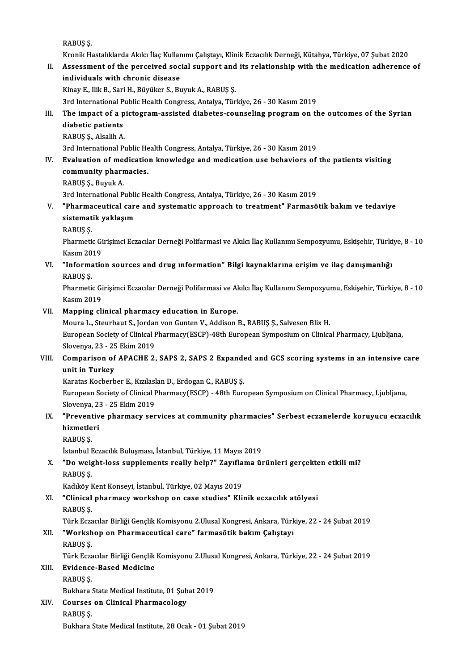RABUŞ Ş.

RABUŞ Ş.<br>Kronik Hastalıklarda Akılcı İlaç Kullanımı Çalıştayı, Klinik Eczacılık Derneği, Kütahya, Türkiye, 07 Şubat 2020<br>Assessment of the perseived sosial sunnest and its relationship with the medisation adherense

RABUŞ Ş.<br>I . Kronik Hastalıklarda Akılcı İlaç Kullanımı Çalıştayı, Klinik Eczacılık Derneği, Kütahya, Türkiye, 07 Şubat<br>I . Assessment of the perceived social support and its relationship with the medication adherence of<br>i Kronik Hastalıklarda Akılcı İlaç Kullar<br>Assessment of the perceived soc<br>individuals with chronic disease<br><sup>Vinou E.</sup> <sup>Hilt B. Sori H. Büyülter S. Bu</sup> II. Assessment of the perceived social support and its relationship with the medication adherence of individuals with chronic disease<br>Kinay E., Ilik B., Sari H., Büyüker S., Buyuk A., RABUŞ Ş.

3rd International Public Health Congress, Antalya, Türkiye, 26 - 30 Kasım 2019

## Kinay E., Ilik B., Sari H., Büyüker S., Buyuk A., RABUŞ Ş.<br>3rd International Public Health Congress, Antalya, Türkiye, 26 - 30 Kasım 2019<br>III. The impact of a pictogram-assisted diabetes-counseling program on the outco 3rd International P<br>The impact of a p<br>diabetic patients<br>PAPUS S Alcalib A The impact of a p<br>diabetic patients<br>RABUŞ Ş., Alsalih A.<br>2rd International B. diabetic patients<br>RABUŞ Ş., Alsalih A.<br>3rd International Public Health Congress, Antalya, Türkiye, 26 - 30 Kasım 2019<br>Evaluation of medication knowledge and medication use behaviors of

RABUŞ Ş., Alsalih A.<br>3rd International Public Health Congress, Antalya, Türkiye, 26 - 30 Kasım 2019<br>IV. Evaluation of medication knowledge and medication use behaviors of the patients visiting<br>community pharmacios 3rd International Public He<br>**Evaluation of medicatio<br>community pharmacies.**<br>PAPUS S. Purnk A Evaluation of mee<br>community pharr<br>RABUŞ Ş., Buyuk A.<br>2nd International B co<mark>mmunity pharmacies.</mark><br>RABUŞ Ş., Buyuk A.<br>3rd International Public Health Congress, Antalya, Türkiye, 26 - 30 Kasım 2019<br>"Pharmaceutisel sare and systematis annreash ta treatment" Farmasê

- RABUŞ Ş., Buyuk A.<br>3rd International Public Health Congress, Antalya, Türkiye, 26 30 Kasım 2019<br>V. "Pharmaceutical care and systematic approach to treatment" Farmasötik bakım ve tedaviye<br>sistematik veklasım 3rd International Publi<br>"Pharmaceutical care<br>sistematik yaklaşım<br>PAPUS S "Pharma<br>sistemat<br>RABUŞ Ş.<br>Pharmati sistematik yaklaşım<br>RABUŞ Ş.<br>Pharmetic Girisimci Eczacılar Derneği Polifarmasi ve Akılcı İlaç Kullanımı Sempozyumu, Eskişehir, Türkiye, 8 - 10
	-

Kasım2019 Pharmetic Girişimci Eczacılar Derneği Polifarmasi ve Akılcı İlaç Kullanımı Sempozyumu, Eskişehir, Türki<br>Kasım 2019<br>VI. "Information sources and drug ınformation" Bilgi kaynaklarına erişim ve ilaç danışmanlığı<br>RARIIS S

Kasım 20<br>"Informa<br>RABUŞ Ş.<br>Pharmati "Information sources and drug ınformation" Bilgi kaynaklarına erişim ve ilaç danışmanlığı<br>RABUŞ Ş.<br>Pharmetic Girişimci Eczacılar Derneği Polifarmasi ve Akılcı İlaç Kullanımı Sempozyumu, Eskişehir, Türkiye, 8 - 10<br>Kasım 201

RABUŞ Ş.<br>Pharmetic Girişimci Eczacılar Derneği Polifarmasi ve Akılcı İlaç Kullanımı Sempozyumu, Eskişehir, Türkiye, 8 - 10<br>Kasım 2019

VII. Mapping clinical pharmacy education in Europe.

Kasım 2019<br><mark>Mapping clinical pharmacy education in Europe.</mark><br>Moura L., Steurbaut S., Jordan von Gunten V., Addison B., RABUŞ Ş., Salvesen Blix H.<br>European Society of Clinical Pharmacy(ESCP), 49th European Symposium on Clini European Society of Clinical Pharmacy(ESCP)-48th European Symposium on Clinical Pharmacy, Ljubljana, Moura L., Steurbaut S., Jordan<br>European Society of Clinical I<br>Slovenya, 23 - 25 Ekim 2019<br>Companison of ABACHE 3 Slovenya, 23 - 25 Ekim 2019

VIII. Comparison of APACHE 2, SAPS 2, SAPS 2 Expanded and GCS scoring systems in an intensive care<br>unit in Turkey Comparison of APACHE 2, SAPS 2, SAPS 2 Expande<br>unit in Turkey<br>Karatas Kocberber E., Kızılaslan D., Erdogan C., RABUŞ Ş.<br>European Society of Clinical Pharmagy(ESCP), 19th Euro

European Society of Clinical Pharmacy(ESCP) - 48th European Symposium on Clinical Pharmacy, Ljubljana,<br>Slovenya, 23 - 25 Ekim 2019 Karatas Kocberber E., Kızılasl<br>European Society of Clinical I<br>Slovenya, 23 - 25 Ekim 2019<br>"Proventive pharmasu ser European Society of Clinical Pharmacy(ESCP) - 48th European Symposium on Clinical Pharmacy, Ljubljana,<br>Slovenya, 23 - 25 Ekim 2019<br>IX. "Preventive pharmacy services at community pharmacies" Serbest eczanelerde koruyucu ecz

## Slovenya, 2:<br>**"Preventiv"**<br>hizmetleri<br><sup>RARIIS</sup> S "Prevent<br>hizmetle<br>RABUŞ Ş.<br>İstanbul E hizmetleri<br>RABUŞ Ş.<br>İstanbul Eczacılık Buluşması, İstanbul, Türkiye, 11 Mayıs 2019

RABUŞ Ş.<br>İstanbul Eczacılık Buluşması, İstanbul, Türkiye, 11 Mayıs 2019<br>X. "Do weight-loss supplements really help?" Zayıflama ürünleri gerçekten etkili mi?<br>RABUS S İstanbul <mark>I</mark><br>"Do weig<br>RABUŞ Ş.<br>Kadılöy k "Do weight-loss supplements really help?" Zayıfla<br>RABUŞ Ş.<br>Kadıköy Kent Konseyi, İstanbul, Türkiye, 02 Mayıs 2019<br>"Clinisal nharması: workshan an sase studies" Kli

Kadıköy Kent Konseyi, İstanbul, Türkiye, 02 Mayıs 2019

# RABUŞ Ş.<br>Kadıköy Kent Konseyi, İstanbul, Türkiye, 02 Mayıs 2019<br>XI. "Clinical pharmacy workshop on case studies" Klinik eczacılık atölyesi<br>RABUS S. "Clinical pharmacy workshop on case studies" Klinik eczacılık atölyesi<br>RABUŞ Ş.<br>Türk Eczacılar Birliği Gençlik Komisyonu 2.Ulusal Kongresi, Ankara, Türkiye, 22 - 24 Şubat 2019<br>"Warksban an Pharmaceutical care" farmasğtik b

XII. "Workshop on Pharmaceutical care" farmasötik bakım Çalıştayı<br>RABUS S. Türk Ecza<br>**"Worksh<br>RABUŞ Ş.**<br>Türk Ecza

Türk Eczacılar Birliği Gençlik Komisyonu 2.Ulusal Kongresi, Ankara, Türkiye, 22 - 24 Şubat 2019

## XIII. Evidence-Based Medicine

RABUŞ Ş. Evidence-Based Medicine<br>RABUŞ Ş.<br>Bukhara State Medical Institute, 01 Şubat 2019<br>Courses on Clinisal Pharmasalasıı

XIV. Courses on Clinical Pharmacology Bukhara :<br>Courses<br>RABUŞ Ş.<br>Bukhara : Bukhara State Medical Institute, 28 Ocak - 01 Şubat 2019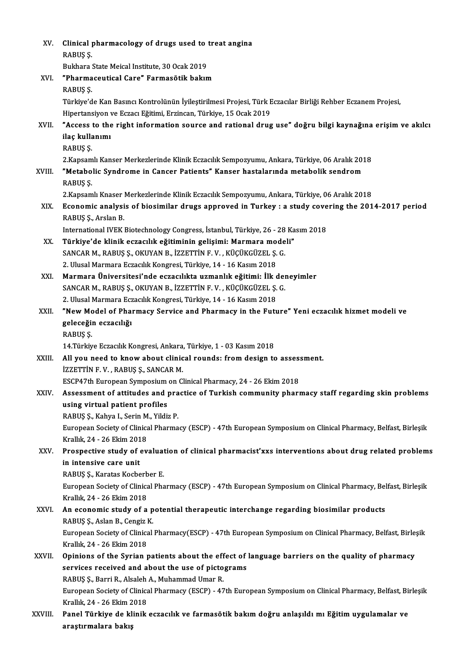| XV.     | Clinical pharmacology of drugs used to treat angina                                                                                          |
|---------|----------------------------------------------------------------------------------------------------------------------------------------------|
|         | RABUŞ Ş.                                                                                                                                     |
|         | Bukhara State Meical Institute, 30 Ocak 2019                                                                                                 |
| XVI.    | "Pharmaceutical Care" Farmasötik bakım                                                                                                       |
|         | RABUŞ Ş.                                                                                                                                     |
|         | Türkiye'de Kan Basıncı Kontrolünün İyileştirilmesi Projesi, Türk Eczacılar Birliği Rehber Eczanem Projesi,                                   |
|         | Hipertansiyon ve Eczacı Eğitimi, Erzincan, Türkiye, 15 Ocak 2019                                                                             |
| XVII.   | "Access to the right information source and rational drug use" doğru bilgi kaynağına erişim ve akılcı                                        |
|         | ilaç kullanımı                                                                                                                               |
|         | RABUŞ Ş.                                                                                                                                     |
|         | 2. Kapsamlı Kanser Merkezlerinde Klinik Eczacılık Sempozyumu, Ankara, Türkiye, 06 Aralık 2018                                                |
| XVIII.  | "Metabolic Syndrome in Cancer Patients" Kanser hastalarında metabolik sendrom                                                                |
|         | RABUS <sub>S</sub> .                                                                                                                         |
|         | 2. Kapsamlı Knaser Merkezlerinde Klinik Eczacılık Sempozyumu, Ankara, Türkiye, 06 Aralık 2018                                                |
| XIX.    | Economic analysis of biosimilar drugs approved in Turkey : a study covering the 2014-2017 period                                             |
|         | RABUŞ Ş, Arslan B                                                                                                                            |
|         | International IVEK Biotechnology Congress, İstanbul, Türkiye, 26 - 28 Kasım 2018                                                             |
| XX.     | Türkiye'de klinik eczacılık eğitiminin gelişimi: Marmara modeli"                                                                             |
|         | SANCAR M., RABUŞ Ş., OKUYAN B., İZZETTİN F. V., KÜÇÜKGÜZEL Ş. G.                                                                             |
|         | 2. Ulusal Marmara Eczacılık Kongresi, Türkiye, 14 - 16 Kasım 2018                                                                            |
| XXI.    | Marmara Üniversitesi'nde eczacılıkta uzmanlık eğitimi: İlk deneyimler                                                                        |
|         | SANCAR M., RABUŞ Ş., OKUYAN B., İZZETTİN F. V., KÜÇÜKGÜZEL Ş. G.                                                                             |
|         | 2. Ulusal Marmara Eczacılık Kongresi, Türkiye, 14 - 16 Kasım 2018                                                                            |
| XXII.   | "New Model of Pharmacy Service and Pharmacy in the Future" Yeni eczacılık hizmet modeli ve                                                   |
|         | geleceğin eczacılığı                                                                                                                         |
|         | RABUŞ Ş.                                                                                                                                     |
| XXIII.  | 14. Türkiye Eczacılık Kongresi, Ankara, Türkiye, 1 - 03 Kasım 2018<br>All you need to know about clinical rounds: from design to assessment. |
|         | İZZETTİN F. V., RABUŞ Ş., SANCAR M.                                                                                                          |
|         | ESCP47th European Symposium on Clinical Pharmacy, 24 - 26 Ekim 2018                                                                          |
| XXIV.   | Assessment of attitudes and practice of Turkish community pharmacy staff regarding skin problems                                             |
|         | using virtual patient profiles                                                                                                               |
|         | RABUŞ Ş., Kahya I., Serin M., Yildiz P.                                                                                                      |
|         | European Society of Clinical Pharmacy (ESCP) - 47th European Symposium on Clinical Pharmacy, Belfast, Birleşik                               |
|         | Krallık, 24 - 26 Ekim 2018                                                                                                                   |
| XXV.    | Prospective study of evaluation of clinical pharmacist'xxs interventions about drug related problems                                         |
|         | in intensive care unit                                                                                                                       |
|         | RABUŞ Ş., Karatas Kocberber E.                                                                                                               |
|         | European Society of Clinical Pharmacy (ESCP) - 47th European Symposium on Clinical Pharmacy, Belfast, Birleşik                               |
|         | Krallık, 24 - 26 Ekim 2018                                                                                                                   |
| XXVI.   | An economic study of a potential therapeutic interchange regarding biosimilar products                                                       |
|         | RABUŞ Ş., Aslan B., Cengiz K.                                                                                                                |
|         | European Society of Clinical Pharmacy(ESCP) - 47th European Symposium on Clinical Pharmacy, Belfast, Birleşik                                |
|         | Krallık, 24 - 26 Ekim 2018                                                                                                                   |
| XXVII.  | Opinions of the Syrian patients about the effect of language barriers on the quality of pharmacy                                             |
|         | services received and about the use of pictograms                                                                                            |
|         | RABUŞ Ş., Barri R., Alsaleh A., Muhammad Umar R.                                                                                             |
|         | European Society of Clinical Pharmacy (ESCP) - 47th European Symposium on Clinical Pharmacy, Belfast, Birleşik                               |
|         | Krallık, 24 - 26 Ekim 2018                                                                                                                   |
| XXVIII. | Panel Türkiye de klinik eczacılık ve farmasötik bakım doğru anlaşıldı mı Eğitim uygulamalar ve                                               |
|         | araştırmalara bakış                                                                                                                          |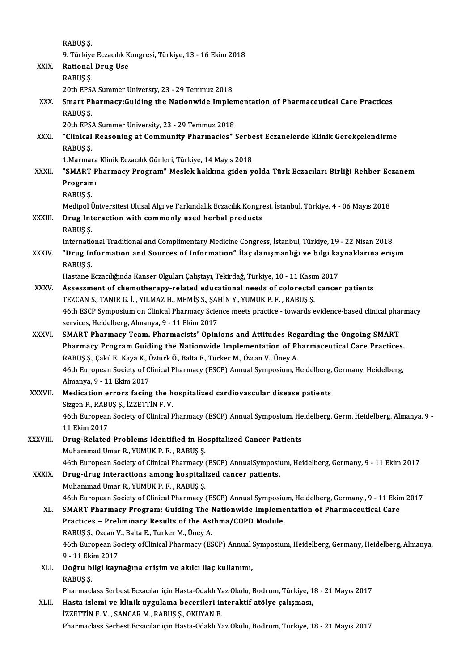RABUŞ Ş.

RABUŞ Ş.<br>9. Türkiye Eczacılık Kongresi, Türkiye, 13 - 16 Ekim 2018<br>Pational Daug Hae

|              | RABUŞ Ş.                                                                                                       |
|--------------|----------------------------------------------------------------------------------------------------------------|
|              | 9. Türkiye Eczacılık Kongresi, Türkiye, 13 - 16 Ekim 2018                                                      |
| XXIX.        | <b>Rational Drug Use</b>                                                                                       |
|              | RABUŞ Ş.                                                                                                       |
|              | 20th EPSA Summer Universty, 23 - 29 Temmuz 2018                                                                |
| XXX.         | Smart Pharmacy: Guiding the Nationwide Implementation of Pharmaceutical Care Practices                         |
|              | RABUŞ Ş.                                                                                                       |
|              | 20th EPSA Summer University, 23 - 29 Temmuz 2018                                                               |
| <b>XXXI</b>  | "Clinical Reasoning at Community Pharmacies" Serbest Eczanelerde Klinik Gerekçelendirme                        |
|              | RABUŞ Ş.                                                                                                       |
|              | 1. Marmara Klinik Eczacılık Günleri, Türkiye, 14 Mayıs 2018                                                    |
| XXXII.       | "SMART Pharmacy Program" Meslek hakkına giden yolda Türk Eczacıları Birliği Rehber Eczanem                     |
|              | Programi                                                                                                       |
|              | RABUŞ Ş.                                                                                                       |
|              | Medipol Üniversitesi Ulusal Algı ve Farkındalık Eczacılık Kongresi, İstanbul, Türkiye, 4 - 06 Mayıs 2018       |
|              |                                                                                                                |
| XXXIII.      | Drug Interaction with commonly used herbal products                                                            |
|              | RABUŞ Ş.                                                                                                       |
|              | International Traditional and Complimentary Medicine Congress, İstanbul, Türkiye, 19 - 22 Nisan 2018           |
| <b>XXXIV</b> | "Drug Information and Sources of Information" İlaç danışmanlığı ve bilgi kaynaklarına erişim                   |
|              | RABUŞ Ş.                                                                                                       |
|              | Hastane Eczacılığında Kanser Olguları Çalıştayı, Tekirdağ, Türkiye, 10 - 11 Kasım 2017                         |
| XXXV.        | Assessment of chemotherapy-related educational needs of colorectal cancer patients                             |
|              | TEZCAN S., TANIR G. İ. , YILMAZ H., MEMİŞ S., ŞAHİN Y., YUMUK P. F. , RABUŞ Ş.                                 |
|              | 46th ESCP Symposium on Clinical Pharmacy Science meets practice - towards evidence-based clinical pharmacy     |
|              | services, Heidelberg, Almanya, 9 - 11 Ekim 2017                                                                |
| <b>XXXVI</b> | SMART Pharmacy Team. Pharmacists' Opinions and Attitudes Regarding the Ongoing SMART                           |
|              | Pharmacy Program Guiding the Nationwide Implementation of Pharmaceutical Care Practices.                       |
|              | RABUŞ Ş., Çakıl E., Kaya K., Öztürk Ö., Balta E., Türker M., Özcan V., Üney A.                                 |
|              | 46th European Society of Clinical Pharmacy (ESCP) Annual Symposium, Heidelberg, Germany, Heidelberg,           |
|              | Almanya, 9 - 11 Ekim 2017                                                                                      |
| XXXVII.      | Medication errors facing the hospitalized cardiovascular disease patients                                      |
|              | Sizgen F., RABUŞ Ş., İZZETTİN F. V.                                                                            |
|              | 46th European Society of Clinical Pharmacy (ESCP) Annual Symposium, Heidelberg, Germ, Heidelberg, Almanya, 9 - |
|              | 11 Ekim 2017                                                                                                   |
| XXXVIII.     | Drug-Related Problems Identified in Hospitalized Cancer Patients                                               |
|              | Muhammad Umar R., YUMUK P. F., RABUŞ Ş.                                                                        |
|              | 46th European Society of Clinical Pharmacy (ESCP) AnnualSymposium, Heidelberg, Germany, 9 - 11 Ekim 2017       |
| XXXIX.       | Drug-drug interactions among hospitalized cancer patients.                                                     |
|              | Muhammad Umar R., YUMUK P. F., RABUŞ Ş.                                                                        |
|              | 46th European Society of Clinical Pharmacy (ESCP) Annual Symposium, Heidelberg, Germany., 9 - 11 Ekim 2017     |
| XL.          | SMART Pharmacy Program: Guiding The Nationwide Implementation of Pharmaceutical Care                           |
|              | Practices - Preliminary Results of the Asthma/COPD Module.                                                     |
|              | RABUŞ Ş., Ozcan V., Balta E., Turker M., Üney A.                                                               |
|              | 46th European Society ofClinical Pharmacy (ESCP) Annual Symposium, Heidelberg, Germany, Heidelberg, Almanya,   |
|              | 9 - 11 Ekim 2017                                                                                               |
| XLI.         | Doğru bilgi kaynağına erişim ve akılcı ilaç kullanımı,                                                         |
|              | RABUŞ Ş.                                                                                                       |
|              | Pharmaclass Serbest Eczacılar için Hasta-Odaklı Yaz Okulu, Bodrum, Türkiye, 18 - 21 Mayıs 2017                 |
| XLII.        | Hasta izlemi ve klinik uygulama becerileri interaktif atölye çalışması,                                        |
|              | İZZETTİN F.V., SANCAR M., RABUŞ Ş., OKUYAN B.                                                                  |
|              | Pharmaclass Serbest Eczacılar için Hasta-Odaklı Yaz Okulu, Bodrum, Türkiye, 18 - 21 Mayıs 2017                 |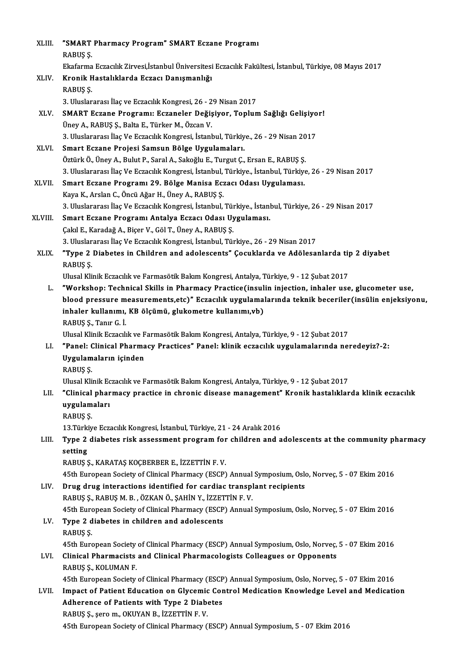| XLIII.       | "SMART Pharmacy Program" SMART Eczane Programi                                                                            |
|--------------|---------------------------------------------------------------------------------------------------------------------------|
|              | RABUŞ Ş.                                                                                                                  |
|              | Ekafarma Eczacılık Zirvesi,İstanbul Üniversitesi Eczacılık Fakültesi, İstanbul, Türkiye, 08 Mayıs 2017                    |
| XLIV.        | Kronik Hastalıklarda Eczacı Danışmanlığı                                                                                  |
|              | RABUŞ Ş.                                                                                                                  |
|              | 3. Uluslararası İlaç ve Eczacılık Kongresi, 26 - 29 Nisan 2017                                                            |
| XLV.         | SMART Eczane Programı: Eczaneler Değişiyor, Toplum Sağlığı Gelişiyor!                                                     |
|              | Üney A., RABUŞ Ş., Balta E., Türker M., Özcan V.                                                                          |
|              | 3. Uluslararası İlaç Ve Eczacılık Kongresi, İstanbul, Türkiye., 26 - 29 Nisan 2017                                        |
| XLVI.        | Smart Eczane Projesi Samsun Bölge Uygulamaları.                                                                           |
|              | Öztürk Ö., Üney A., Bulut P., Saral A., Sakoğlu E., Turgut Ç., Ersan E., RABUŞ Ş.                                         |
|              | 3. Uluslararası İlaç Ve Eczacılık Kongresi, İstanbul, Türkiye., İstanbul, Türkiye, 26 - 29 Nisan 2017                     |
| <b>XLVII</b> | Smart Eczane Programı 29. Bölge Manisa Eczacı Odası Uygulaması.                                                           |
|              | Kaya K., Arslan C., Öncü Ağar H., Üney A., RABUŞ Ş.                                                                       |
|              | 3. Uluslararası İlaç Ve Eczacılık Kongresi, İstanbul, Türkiye., İstanbul, Türkiye, 26 - 29 Nisan 2017                     |
| XLVIII.      | Smart Eczane Programı Antalya Eczacı Odası Uygulaması.                                                                    |
|              | Çakıl E., Karadağ A., Biçer V., Göl T., Üney A., RABUŞ Ş.                                                                 |
|              | 3. Uluslararası İlaç Ve Eczacılık Kongresi, İstanbul, Türkiye., 26 - 29 Nisan 2017                                        |
| XLIX.        | "Type 2 Diabetes in Children and adolescents" Çocuklarda ve Adölesanlarda tip 2 diyabet<br>RABUŞ Ş.                       |
|              | Ulusal Klinik Eczacılık ve Farmasötik Bakım Kongresi, Antalya, Türkiye, 9 - 12 Şubat 2017                                 |
| L.           | "Workshop: Technical Skills in Pharmacy Practice(insulin injection, inhaler use, glucometer use,                          |
|              | blood pressure measurements, etc)" Eczacılık uygulamalarında teknik beceriler (insülin enjeksiyonu,                       |
|              | inhaler kullanımı, KB ölçümü, glukometre kullanımı,vb)                                                                    |
|              | RABUŞ Ş., Tanır G. İ.                                                                                                     |
|              | Ulusal Klinik Eczacılık ve Farmasötik Bakım Kongresi, Antalya, Türkiye, 9 - 12 Şubat 2017                                 |
| LI.          | "Panel: Clinical Pharmacy Practices" Panel: klinik eczacılık uygulamalarında neredeyiz?-2:                                |
|              | Uygulamaların içinden                                                                                                     |
|              | RABUS S.                                                                                                                  |
|              | Ulusal Klinik Eczacılık ve Farmasötik Bakım Kongresi, Antalya, Türkiye, 9 - 12 Şubat 2017                                 |
| LII.         | "Clinical pharmacy practice in chronic disease management" Kronik hastalıklarda klinik eczacılık                          |
|              | uygulamaları                                                                                                              |
|              | RABUŞ Ş.                                                                                                                  |
|              | 13. Türkiye Eczacılık Kongresi, İstanbul, Türkiye, 21 - 24 Aralık 2016                                                    |
| LIII.        | Type 2 diabetes risk assessment program for children and adolescents at the community pharmacy                            |
|              | setting                                                                                                                   |
|              | RABUŞ Ş., KARATAŞ KOÇBERBER E., İZZETTİN F.V.                                                                             |
|              | 45th European Society of Clinical Pharmacy (ESCP) Annual Symposium, Oslo, Norveç, 5 - 07 Ekim 2016                        |
| LIV.         | Drug drug interactions identified for cardiac transplant recipients                                                       |
|              | RABUŞ Ş., RABUŞ M. B., ÖZKAN Ö., ŞAHİN Y., İZZETTİN F. V.                                                                 |
|              | 45th European Society of Clinical Pharmacy (ESCP) Annual Symposium, Oslo, Norveç, 5 - 07 Ekim 2016                        |
| LV.          | Type 2 diabetes in children and adolescents                                                                               |
|              | RABUŞ Ş.                                                                                                                  |
|              | 45th European Society of Clinical Pharmacy (ESCP) Annual Symposium, Oslo, Norveç, 5 - 07 Ekim 2016                        |
| LVI.         | Clinical Pharmacists and Clinical Pharmacologists Colleagues or Opponents                                                 |
|              | RABUŞ Ş., KOLUMAN F<br>45th European Society of Clinical Pharmacy (ESCP) Annual Symposium, Oslo, Norveç, 5 - 07 Ekim 2016 |
| LVII.        | Impact of Patient Education on Glycemic Control Medication Knowledge Level and Medication                                 |
|              | Adherence of Patients with Type 2 Diabetes                                                                                |
|              | RABUŞ Ş., şero m., OKUYAN B., İZZETTİN F.V.                                                                               |
|              | 45th European Society of Clinical Pharmacy (ESCP) Annual Symposium, 5 - 07 Ekim 2016                                      |
|              |                                                                                                                           |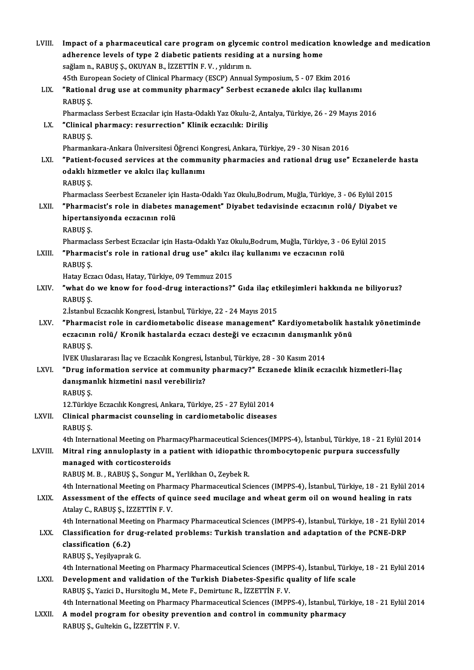| LVIII.  | Impact of a pharmaceutical care program on glycemic control medication knowledge and medication                                                    |
|---------|----------------------------------------------------------------------------------------------------------------------------------------------------|
|         | adherence levels of type 2 diabetic patients residing at a nursing home                                                                            |
|         | sağlam n., RABUŞ Ş., OKUYAN B., İZZETTİN F. V., yıldırım n.                                                                                        |
|         | 45th European Society of Clinical Pharmacy (ESCP) Annual Symposium, 5 - 07 Ekim 2016                                                               |
| LIX.    | "Rational drug use at community pharmacy" Serbest eczanede akılcı ilaç kullanımı                                                                   |
|         | RABUŞ Ş.                                                                                                                                           |
|         | Pharmaclass Serbest Eczacılar için Hasta-Odaklı Yaz Okulu-2, Antalya, Türkiye, 26 - 29 Mayıs 2016                                                  |
| LX.     | "Clinical pharmacy: resurrection" Klinik eczacılık: Diriliş                                                                                        |
|         | RABUŞ Ş.                                                                                                                                           |
|         | Pharmankara-Ankara Üniversitesi Öğrenci Kongresi, Ankara, Türkiye, 29 - 30 Nisan 2016                                                              |
| LXI.    | "Patient-focused services at the community pharmacies and rational drug use" Eczanelerde hasta                                                     |
|         | odaklı hizmetler ve akılcı ilaç kullanımı                                                                                                          |
|         | RABUŞ Ş.                                                                                                                                           |
|         | Pharmaclass Seerbest Eczaneler için Hasta-Odaklı Yaz Okulu,Bodrum, Muğla, Türkiye, 3 - 06 Eylül 2015                                               |
| LXII.   | "Pharmacist's role in diabetes management" Diyabet tedavisinde eczacının rolü/ Diyabet ve                                                          |
|         | hipertansiyonda eczacının rolü                                                                                                                     |
|         | RABUŞ Ş.                                                                                                                                           |
|         | Pharmaclass Serbest Eczacılar için Hasta-Odaklı Yaz Okulu,Bodrum, Muğla, Türkiye, 3 - 06 Eylül 2015                                                |
| LXIII.  | "Pharmacist's role in rational drug use" akılcı ilaç kullanımı ve eczacının rolü                                                                   |
|         | RABUŞ Ş.                                                                                                                                           |
| LXIV.   | Hatay Eczacı Odası, Hatay, Türkiye, 09 Temmuz 2015<br>"what do we know for food-drug interactions?" Gida ilaç etkileşimleri hakkında ne biliyoruz? |
|         | RABUŞ Ş.                                                                                                                                           |
|         | 2. İstanbul Eczacılık Kongresi, İstanbul, Türkiye, 22 - 24 Mayıs 2015                                                                              |
| LXV.    | "Pharmacist role in cardiometabolic disease management" Kardiyometabolik hastalık yönetiminde                                                      |
|         | eczacının rolü/ Kronik hastalarda eczacı desteği ve eczacının danışmanlık yönü                                                                     |
|         | RABUŞ Ş.                                                                                                                                           |
|         | İVEK Uluslararası İlaç ve Eczacılık Kongresi, İstanbul, Türkiye, 28 - 30 Kasım 2014                                                                |
| LXVI.   | "Drug information service at community pharmacy?" Eczanede klinik eczacılık hizmetleri-İlaç                                                        |
|         | danışmanlık hizmetini nasıl verebiliriz?                                                                                                           |
|         | RABUŞ Ş.                                                                                                                                           |
|         | 12. Türkiye Eczacılık Kongresi, Ankara, Türkiye, 25 - 27 Eylül 2014                                                                                |
| LXVII.  | Clinical pharmacist counseling in cardiometabolic diseases                                                                                         |
|         | RABUŞ Ş.                                                                                                                                           |
|         | 4th International Meeting on PharmacyPharmaceutical Sciences(IMPPS-4), İstanbul, Türkiye, 18 - 21 Eylül 2014                                       |
| LXVIII. | Mitral ring annuloplasty in a patient with idiopathic thrombocytopenic purpura successfully                                                        |
|         | managed with corticosteroids<br>RABUŞ M. B., RABUŞ Ş., Songur M., Yerlikhan O., Zeybek R.                                                          |
|         | 4th International Meeting on Pharmacy Pharmaceutical Sciences (IMPPS-4), İstanbul, Türkiye, 18 - 21 Eylül 2014                                     |
| LXIX.   | Assessment of the effects of quince seed mucilage and wheat germ oil on wound healing in rats                                                      |
|         | Atalay C., RABUŞ Ş., İZZETTİN F. V.                                                                                                                |
|         | 4th International Meeting on Pharmacy Pharmaceutical Sciences (IMPPS-4), İstanbul, Türkiye, 18 - 21 Eylül 2014                                     |
| LXX.    | Classification for drug-related problems: Turkish translation and adaptation of the PCNE-DRP                                                       |
|         | classification (6.2)                                                                                                                               |
|         | RABUŞ Ş., Yeşilyaprak G.                                                                                                                           |
|         | 4th International Meeting on Pharmacy Pharmaceutical Sciences (IMPPS-4), İstanbul, Türkiye, 18 - 21 Eylül 2014                                     |
| LXXI.   | Development and validation of the Turkish Diabetes-Spesific quality of life scale                                                                  |
|         | RABUŞ Ş., Yazici D., Hursitoglu M., Mete F., Demirtunc R., İZZETTİN F.V.                                                                           |
|         | 4th International Meeting on Pharmacy Pharmaceutical Sciences (IMPPS-4), İstanbul, Türkiye, 18 - 21 Eylül 2014                                     |
| LXXII.  | A model program for obesity prevention and control in community pharmacy                                                                           |
|         | RABUŞ Ş., Gultekin G., İZZETTİN F.V.                                                                                                               |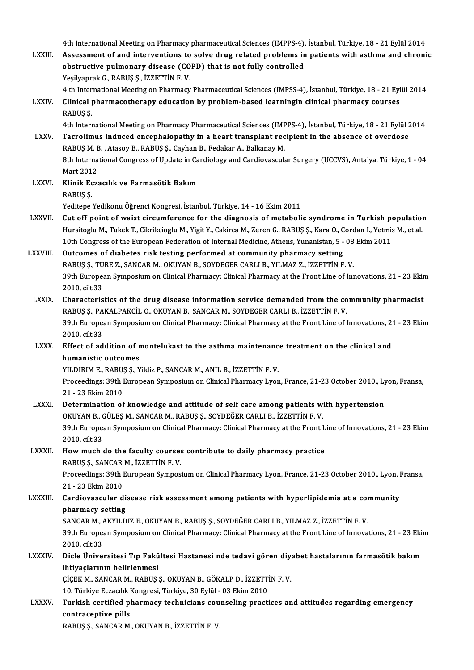4th International Meeting on Pharmacy pharmaceutical Sciences (IMPPS-4), İstanbul, Türkiye, 18 - 21 Eylül 2014<br>Assessment of and interventions to selve drug related preblems in patients with esthme and shrepi

4th International Meeting on Pharmacy pharmaceutical Sciences (IMPPS-4), İstanbul, Türkiye, 18 - 21 Eylül 2014<br>LXXIII. Assessment of and interventions to solve drug related problems in patients with asthma and chronic 4th International Meeting on Pharmacy pharmaceutical Sciences (IMPPS-4),<br>Assessment of and interventions to solve drug related problems in<br>obstructive pulmonary disease (COPD) that is not fully controlled<br>Yesikonrak G. BAB Assessment of and interventions to solve drug related problems in patients with asthma and chronic obstructive pulmonary disease (COPD) that is not fully controlled<br>Yeşilyaprak G., RABUŞ Ş., İZZETTİN F. V. obstructive pulmonary disease (COPD) that is not fully controlled<br>Yeşilyaprak G., RABUŞ Ş., İZZETTİN F. V.<br>4 th International Meeting on Pharmacy Pharmaceutical Sciences (IMPSS-4), İstanbul, Türkiye, 18 - 21 Eylül 2014<br>Cli

Yeşilyaprak G., RABUŞ Ş., İZZETTİN F. V.<br>4 th International Meeting on Pharmacy Pharmaceutical Sciences (IMPSS-4), İstanbul, Türkiye, 18 - 21 Eyl<br>2 EABUS S 4 th Inter<br>Clinical<br>RABUŞ Ş.<br>4th Intern 6 Clinical pharmacotherapy education by problem-based learningin clinical pharmacy courses<br>RABUŞ Ş.<br>4th International Meeting on Pharmacy Pharmaceutical Sciences (IMPPS-4), İstanbul, Türkiye, 18 - 21 Eylül 2014

LXXV. Tacrolimus induced encephalopathy in a heart transplant recipient in the absence of overdose 4th International Meeting on Pharmacy Pharmaceutical Sciences (IMF)<br>Tacrolimus induced encephalopathy in a heart transplant rec<br>RABUŞ M. B. , Atasoy B., RABUŞ Ş., Cayhan B., Fedakar A., Balkanay M.<br><sup>9th</sup> International Cong Tacrolimus induced encephalopathy in a heart transplant recipient in the absence of overdose<br>RABUŞ M. B. , Atasoy B., RABUŞ Ş., Cayhan B., Fedakar A., Balkanay M.<br>8th International Congress of Update in Cardiology and Card RABUŞ M. E<br>8th Interna<br>Mart 2012<br>Klinik Feze

8th International Congress of Update in Ca<br>Mart 2012<br>LXXVI. Klinik Eczacılık ve Farmasötik Bakım Mart 2012<br>Klinik Eczacılık ve Farmasötik Bakım<br>RABUS S.

Yeditepe Yedikonu Öğrenci Kongresi, İstanbul, Türkiye, 14 - 16 Ekim 2011

RABUŞ Ş.<br>14 - Yeditepe Yedikonu Öğrenci Kongresi, İstanbul, Türkiye, 14 - 16 Ekim 2011<br>12XVII. Cut off point of waist circumference for the diagnosis of metabolic syndrome in Turkish population<br>13 Hungitash M. Tukek T. Gil Yeditepe Yedikonu Öğrenci Kongresi, İstanbul, Türkiye, 14 - 16 Ekim 2011<br>Cut off point of waist circumference for the diagnosis of metabolic syndrome in Turkish populatio:<br>Hursitoglu M., Tukek T., Cikrikcioglu M., Yigit Y. Cut off point of waist circumference for the diagnosis of metabolic syndrome in Turkish po<br>Hursitoglu M., Tukek T., Cikrikcioglu M., Yigit Y., Cakirca M., Zeren G., RABUŞ Ş., Kara O., Cordan I., Yetmis<br>10th Congress of the Hursitoglu M., Tukek T., Cikrikcioglu M., Yigit Y., Cakirca M., Zeren G., RABUŞ Ş., Kara O., Cordan I., Yetmis M., et al.<br>10th Congress of the European Federation of Internal Medicine, Athens, Yunanistan, 5 - 08 Ekim 2011<br>

10th Congress of the European Federation of Internal Medicine, Athens, Yunanistan, 5 - 08<br>Outcomes of diabetes risk testing performed at community pharmacy setting<br>RABUŞ Ş., TURE Z., SANCAR M., OKUYAN B., SOYDEGER CARLI B. 39th European Symposium on Clinical Pharmacy: Clinical Pharmacy at the Front Line of Innovations, 21 - 23 Ekim<br>2010, cilt.33 RABUŞ Ş., TU<br>39th Europea<br>2010, cilt.33<br>Characteris 39th European Symposium on Clinical Pharmacy: Clinical Pharmacy at the Front Line of Innovations, 21 - 23 Ekir<br>2010, cilt.33<br>LXXIX. Characteristics of the drug disease information service demanded from the community pharma

2010, cilt.33<br>Characteristics of the drug disease information service demanded from the co<br>RABUŞ Ş., PAKALPAKCİL O., OKUYAN B., SANCAR M., SOYDEGER CARLI B., İZZETTİN F. V.<br>20th European Symposium en Clinical Pharmagy: Cli Characteristics of the drug disease information service demanded from the community pharmacist<br>RABUŞ Ş., PAKALPAKCİL O., OKUYAN B., SANCAR M., SOYDEGER CARLI B., İZZETTİN F. V.<br>39th European Symposium on Clinical Pharmacy: RABUŞ Ş., PAKALPAKCİL O., OKUYAN B., SANCAR M., SOYDEGER CARLI B., İZZETTİN F. V.<br>39th European Symposium on Clinical Pharmacy: Clinical Pharmacy at the Front Line of Innovations, 21 - 23 Ekim<br>2010. cilt.33 39th European Symposium on Clinical Pharmacy: Clinical Pharmacy at the Front Line of Innovations, 2:<br>2010, cilt.33<br>LXXX. Effect of addition of montelukast to the asthma maintenance treatment on the clinical and<br>humanistic

# 2010, cilt.33<br>Effect of addition of n<br>humanistic outcomes<br>YU DIPIM E, BAPUS S, Y Effect of addition of montelukast to the asthma maintenanc<br>humanistic outcomes<br>YILDIRIM E., RABUŞ Ş., Yildiz P., SANCAR M., ANIL B., İZZETTİN F. V.<br>Preseedings: 20th European Symnesium en Clinisel Pharmegy Lyon

YILDIRIM E., RABUȘ Ș., Yildiz P., SANCAR M., ANIL B., İZZETTİN F. V.

humanistic outcomes<br>YILDIRIM E., RABUŞ Ş., Yildiz P., SANCAR M., ANIL B., İZZETTİN F. V.<br>Proceedings: 39th European Symposium on Clinical Pharmacy Lyon, France, 21-23 October 2010., Lyon, Fransa,<br>21 - 23 Ekim 2010 Proceedings: 39th European Symposium on Clinical Pharmacy Lyon, France, 21-23 October 2010., Ly<br>21 - 23 Ekim 2010<br>LXXXI. Determination of knowledge and attitude of self care among patients with hypertension<br>OKIWAN P. CÜLES

# 21 - 23 Ekim 2010<br>Determination of knowledge and attitude of self care among patients w:<br>OKUYAN B., GÜLEŞ M., SANCAR M., RABUŞ Ş., SOYDEĞER CARLI B., İZZETTİN F. V.<br>20th European Sympesium en Clinisal Pharmagy: Clinisal Ph Determination of knowledge and attitude of self care among patients with hypertension<br>OKUYAN B., GÜLEŞ M., SANCAR M., RABUŞ Ş., SOYDEĞER CARLI B., İZZETTİN F. V.<br>39th European Symposium on Clinical Pharmacy: Clinical Pharm OKUYAN B., C<br>39th Europea<br>2010, cilt.33<br>Hour much

## 39th European Symposium on Clinical Pharmacy: Clinical Pharmacy at the Front L<br>2010, cilt.33<br>LXXXII. How much do the faculty courses contribute to daily pharmacy practice<br>RABUS S SANGAR M JZZETTIN E V 2010, cilt.33<br>How much do the faculty courses contribute to daily pharmacy practice<br>RABUŞ Ş., SANCAR M., İZZETTİN F. V. How much do the faculty courses contribute to daily pharmacy practice<br>RABUŞ Ş., SANCAR M., İZZETTİN F. V.<br>Proceedings: 39th European Symposium on Clinical Pharmacy Lyon, France, 21-23 October 2010., Lyon, Fransa,<br>21 - 22 F RABUŞ Ş., SANCAR<br>Proceedings: 39th 1<br>21 - 23 Ekim 2010<br>Cardiovascular d

Proceedings: 39th European Symposium on Clinical Pharmacy Lyon, France, 21-23 October 2010., Lyon, I<br>21 - 23 Ekim 2010<br>LXXXIII. Cardiovascular disease risk assessment among patients with hyperlipidemia at a community<br>nharm

# 21 - 23 Ekim 2010<br>Cardiovascular di<br>pharmacy setting<br>SANGAB M AKYU D Cardiovascular disease risk assessment among patients with hyperlipidemia at a complement of the setting setting<br>SANCAR M., AKYILDIZ E., OKUYAN B., RABUŞ Ş., SOYDEĞER CARLI B., YILMAZ Z., İZZETTİN F. V.<br>20th European Sympa

pharmacy setting<br>SANCAR M., AKYILDIZ E., OKUYAN B., RABUŞ Ş., SOYDEĞER CARLI B., YILMAZ Z., İZZETTİN F. V.<br>39th European Symposium on Clinical Pharmacy: Clinical Pharmacy at the Front Line of Innovations, 21 - 23 Ekim<br>2010 SANCAR M., AKYILDIZ E., OKUYAN B., RABUŞ Ş., SOYDEĞER CARLI B., YILMAZ Z., İZZETTİN F. V.<br>39th European Symposium on Clinical Pharmacy: Clinical Pharmacy at the Front Line of Innova<br>2010, cilt.33 39th European Symposium on Clinical Pharmacy: Clinical Pharmacy at the Front Line of Innovations, 21 - 23 Eki<br>2010, cilt.33<br>LXXXIV. Dicle Üniversitesi Tıp Fakültesi Hastanesi nde tedavi gören diyabet hastalarının farmasöti

## Dicle Üniversitesi Tıp Fakültesi Hastanesi nde tedavi gören diyabet hastalarının farmasötik bakım<br>ihtiyaçlarının belirlenmesi Dicle Üniversitesi Tıp Fakültesi Hastanesi nde tedavi gören diy;<br>ihtiyaçlarının belirlenmesi<br>ÇİÇEK M., SANCAR M., RABUŞ Ş., OKUYAN B., GÖKALP D., İZZETTİN F. V.<br>10. Türkiye Estasılık Konstasi Türkiye 30 Erlül - 03 Ekim 301 ihtiyaçlarının belirlenmesi<br>ÇİÇEK M., SANCAR M., RABUŞ Ş., OKUYAN B., GÖKALP D., İZZETTİ<br>10. Türkiye Eczacılık Kongresi, Türkiye, 30 Eylül - 03 Ekim 2010<br>Turkish certified pharması: technisians seunasling prasti

10. Türkiye Eczacılık Kongresi, Türkiye, 30 Eylül - 03 Ekim 2010

LXXXV. Turkish certified pharmacy technicians counseling practices and attitudes regarding emergency

RABUŞ Ş.,SANCARM.,OKUYANB., İZZETTİNF.V.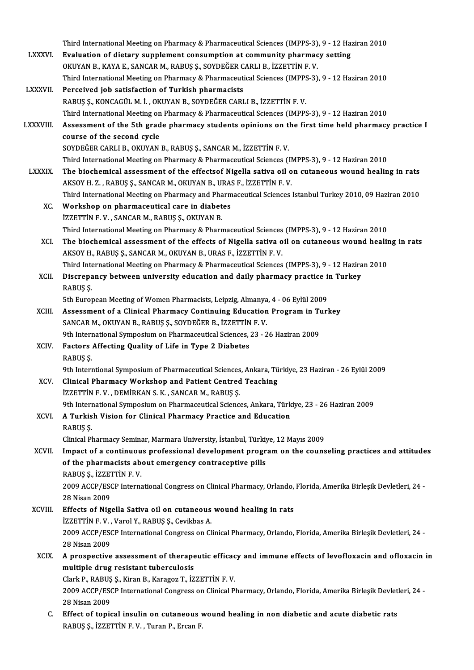|                 | Third International Meeting on Pharmacy & Pharmaceutical Sciences (IMPPS-3), 9 - 12 Haziran 2010                                |
|-----------------|---------------------------------------------------------------------------------------------------------------------------------|
| <b>LXXXVI</b>   | Evaluation of dietary supplement consumption at community pharmacy setting                                                      |
|                 | OKUYAN B., KAYA E., SANCAR M., RABUŞ Ş., SOYDEĞER CARLI B., İZZETTİN F.V.                                                       |
|                 | Third International Meeting on Pharmacy & Pharmaceutical Sciences (IMPPS-3), 9 - 12 Haziran 2010                                |
| <b>LXXXVII.</b> | Perceived job satisfaction of Turkish pharmacists                                                                               |
|                 | RABUŞ Ş., KONCAGÜL M. İ., OKUYAN B., SOYDEĞER CARLI B., İZZETTİN F. V.                                                          |
|                 | Third International Meeting on Pharmacy & Pharmaceutical Sciences (IMPPS-3), 9 - 12 Haziran 2010                                |
| <b>LXXXVIII</b> | Assessment of the 5th grade pharmacy students opinions on the first time held pharmacy practice I<br>course of the second cycle |
|                 | SOYDEĞER CARLI B., OKUYAN B., RABUŞ Ş., SANCAR M., İZZETTİN F. V.                                                               |
|                 | Third International Meeting on Pharmacy & Pharmaceutical Sciences (IMPPS-3), 9 - 12 Haziran 2010                                |
| <b>LXXXIX</b>   | The biochemical assessment of the effectsof Nigella sativa oil on cutaneous wound healing in rats                               |
|                 | AKSOY H. Z., RABUŞ Ş., SANCAR M., OKUYAN B., URAS F., İZZETTİN F. V.                                                            |
|                 | Third International Meeting on Pharmacy and Pharmaceutical Sciences Istanbul Turkey 2010, 09 Haziran 2010                       |
| XC.             | Workshop on pharmaceutical care in diabetes                                                                                     |
|                 | İZZETTİN F. V., SANCAR M., RABUŞ Ş., OKUYAN B.                                                                                  |
|                 | Third International Meeting on Pharmacy & Pharmaceutical Sciences (IMPPS-3), 9 - 12 Haziran 2010                                |
| XCI.            | The biochemical assessment of the effects of Nigella sativa oil on cutaneous wound healing in rats                              |
|                 | AKSOY H., RABUŞ Ş., SANCAR M., OKUYAN B., URAS F., İZZETTİN F. V.                                                               |
|                 | Third International Meeting on Pharmacy & Pharmaceutical Sciences (IMPPS-3), 9 - 12 Haziran 2010                                |
| XCII.           | Discrepancy between university education and daily pharmacy practice in Turkey<br>RABUŞ Ş.                                      |
|                 | 5th European Meeting of Women Pharmacists, Leipzig, Almanya, 4 - 06 Eylül 2009                                                  |
| XCIII.          | Assessment of a Clinical Pharmacy Continuing Education Program in Turkey                                                        |
|                 | SANCAR M., OKUYAN B., RABUŞ Ş., SOYDEĞER B., İZZETTİN F. V.                                                                     |
|                 | 9th International Symposium on Pharmaceutical Sciences, 23 - 26 Haziran 2009                                                    |
| <b>XCIV</b>     | Factors Affecting Quality of Life in Type 2 Diabetes                                                                            |
|                 | RABUŞ Ş.                                                                                                                        |
|                 | 9th Interntional Symposium of Pharmaceutical Sciences, Ankara, Türkiye, 23 Haziran - 26 Eylül 2009                              |
| XCV.            | <b>Clinical Pharmacy Workshop and Patient Centred Teaching</b>                                                                  |
|                 | İZZETTİN F.V., DEMİRKAN S.K., SANCAR M., RABUŞ Ş.                                                                               |
|                 | 9th International Symposium on Pharmaceutical Sciences, Ankara, Türkiye, 23 - 26 Haziran 2009                                   |
| XCVI.           | A Turkish Vision for Clinical Pharmacy Practice and Education                                                                   |
|                 | RABUŞ Ş.                                                                                                                        |
|                 | Clinical Pharmacy Seminar, Marmara University, İstanbul, Türkiye, 12 Mayıs 2009                                                 |
| XCVII.          | Impact of a continuous professional development program on the counseling practices and attitudes                               |
|                 | of the pharmacists about emergency contraceptive pills                                                                          |
|                 | RABUŞ Ş., İZZETTİN F.V.                                                                                                         |
|                 | 2009 ACCP/ESCP International Congress on Clinical Pharmacy, Orlando, Florida, Amerika Birleşik Devletleri, 24 -                 |
|                 | 28 Nisan 2009                                                                                                                   |
| XCVIII.         | Effects of Nigella Sativa oil on cutaneous wound healing in rats                                                                |
|                 | İZZETTİN F.V., Varol Y., RABUŞ Ş., Cevikbas A.                                                                                  |
|                 | 2009 ACCP/ESCP International Congress on Clinical Pharmacy, Orlando, Florida, Amerika Birleşik Devletleri, 24 -                 |
|                 | 28 Nisan 2009                                                                                                                   |
| <b>XCIX</b>     | A prospective assessment of therapeutic efficacy and immune effects of levofloxacin and ofloxacin in                            |
|                 | multiple drug resistant tuberculosis                                                                                            |
|                 | Clark P., RABUŞ Ş., Kiran B., Karagoz T., İZZETTİN F.V.                                                                         |
|                 | 2009 ACCP/ESCP International Congress on Clinical Pharmacy, Orlando, Florida, Amerika Birleşik Devletleri, 24 -                 |
|                 | 28 Nisan 2009                                                                                                                   |
| C.              | Effect of topical insulin on cutaneous wound healing in non diabetic and acute diabetic rats                                    |
|                 | RABUŞ Ş., İZZETTİN F.V., Turan P., Ercan F.                                                                                     |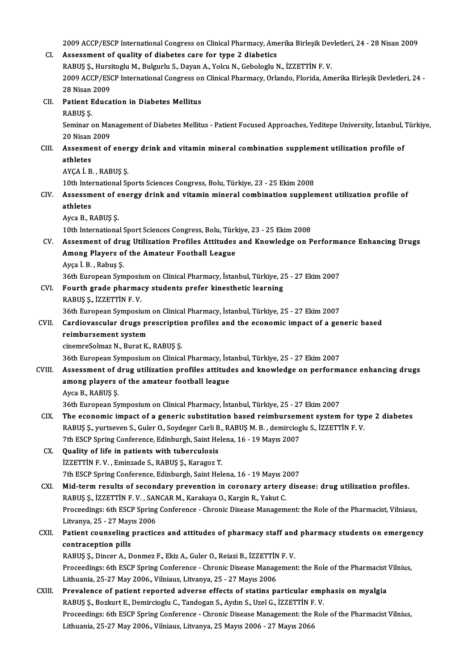2009 ACCP/ESCP International Congress on Clinical Pharmacy, Amerika Birleşik Devletleri, 24 - 28 Nisan 2009<br>Assessment of quality of diabates sans for tune 2 diabatiss

|            | 2009 ACCP/ESCP International Congress on Clinical Pharmacy, Amerika Birleşik Devletleri, 24 - 28 Nisan 2009      |
|------------|------------------------------------------------------------------------------------------------------------------|
| CI.        | Assessment of quality of diabetes care for type 2 diabetics                                                      |
|            | RABUŞ Ş., Hursitoglu M., Bulgurlu S., Dayan A., Yolcu N., Gebologlu N., İZZETTİN F. V.                           |
|            | 2009 ACCP/ESCP International Congress on Clinical Pharmacy, Orlando, Florida, Amerika Birleşik Devletleri, 24 -  |
|            | 28 Nisan 2009                                                                                                    |
| CII.       | <b>Patient Education in Diabetes Mellitus</b>                                                                    |
|            | RABUŞ Ş.                                                                                                         |
|            | Seminar on Management of Diabetes Mellitus - Patient Focused Approaches, Yeditepe University, İstanbul, Türkiye, |
|            | 20 Nisan 2009                                                                                                    |
| CIII.      | Assesment of energy drink and vitamin mineral combination supplement utilization profile of                      |
|            | athletes                                                                                                         |
|            | AYÇA İ. B., RABUŞ Ş.                                                                                             |
|            | 10th International Sports Sciences Congress, Bolu, Türkiye, 23 - 25 Ekim 2008                                    |
| CIV.       | Assessment of energy drink and vitamin mineral combination supplement utilization profile of                     |
|            | athletes                                                                                                         |
|            | Ayca B, RABUŞ Ş                                                                                                  |
|            | 10th International Sport Sciences Congress, Bolu, Türkiye, 23 - 25 Ekim 2008                                     |
| CV.        | Assesment of drug Utilization Profiles Attitudes and Knowledge on Performance Enhancing Drugs                    |
|            | Among Players of the Amateur Football League                                                                     |
|            | Ayça İ B., Rabuş Ş.                                                                                              |
|            | 36th European Symposium on Clinical Pharmacy, İstanbul, Türkiye, 25 - 27 Ekim 2007                               |
| CVI.       | Fourth grade pharmacy students prefer kinesthetic learning                                                       |
|            | RABUŞ Ş, İZZETTİN F.V.                                                                                           |
|            | 36th European Symposium on Clinical Pharmacy, İstanbul, Türkiye, 25 - 27 Ekim 2007                               |
| CVII.      | Cardiovascular drugs prescription profiles and the economic impact of a generic based                            |
|            | reimbursement system                                                                                             |
|            | cinemreSolmaz N., Burat K., RABUŞ Ş.                                                                             |
|            | 36th European Symposium on Clinical Pharmacy, İstanbul, Türkiye, 25 - 27 Ekim 2007                               |
| CVIII.     | Assessment of drug utilization profiles attitudes and knowledge on performance enhancing drugs                   |
|            | among players of the amateur football league                                                                     |
|            | Ayca B, RABUŞ Ş                                                                                                  |
|            | 36th European Symposium on Clinical Pharmacy, İstanbul, Türkiye, 25 - 27 Ekim 2007                               |
| CIX.       | The economic impact of a generic substitution based reimbursement system for type 2 diabetes                     |
|            | RABUŞ Ş., yurtseven S., Guler O., Soydeger Carli B., RABUŞ M. B., demircioglu S., İZZETTİN F. V.                 |
|            | 7th ESCP Spring Conference, Edinburgh, Saint Helena, 16 - 19 Mayıs 2007                                          |
| CX.        | Quality of life in patients with tuberculosis                                                                    |
|            | İZZETTİN F.V., Eminzade S., RABUŞ Ş., Karagoz T.                                                                 |
|            | 7th ESCP Spring Conference, Edinburgh, Saint Helena, 16 - 19 Mayıs 2007                                          |
| <b>CXI</b> | Mid-term results of secondary prevention in coronary artery disease: drug utilization profiles.                  |
|            | RABUŞ Ş., İZZETTİN F. V., SANCAR M., Karakaya O., Kargin R., Yakut C.                                            |
|            | Proceedings: 6th ESCP Spring Conference - Chronic Disease Management: the Role of the Pharmacist, Vilniaus,      |
|            | Litvanya, 25 - 27 Mayıs 2006                                                                                     |
| CXII.      | Patient counseling practices and attitudes of pharmacy staff and pharmacy students on emergency                  |
|            | contraception pills                                                                                              |
|            | RABUŞ Ş., Dincer A., Donmez F., Ekiz A., Guler O., Reiazi B., İZZETTİN F. V.                                     |
|            | Proceedings: 6th ESCP Spring Conference - Chronic Disease Management: the Role of the Pharmacist Vilnius,        |
|            | Lithuania, 25-27 May 2006., Vilniaus, Litvanya, 25 - 27 Mayıs 2006                                               |
| CXIII.     | Prevalence of patient reported adverse effects of statins particular emphasis on myalgia                         |
|            | RABUŞ Ş., Bozkurt E., Demircioglu C., Tandogan S., Aydın S., Uzel G., İZZETTİN F. V.                             |
|            | Proceedings: 6th ESCP Spring Conference - Chronic Disease Management: the Role of the Pharmacist Vilnius,        |
|            | Lithuania, 25-27 May 2006., Vilniaus, Litvanya, 25 Mayıs 2006 - 27 Mayıs 2066                                    |